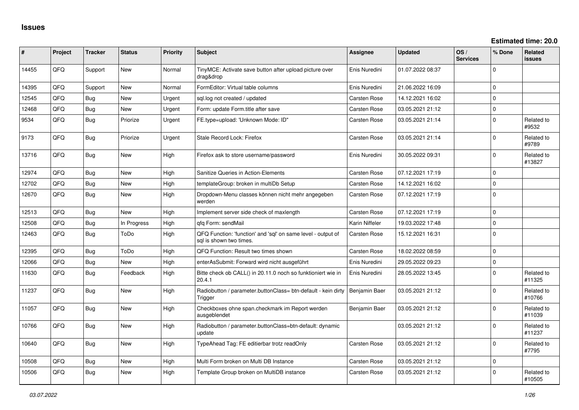| ∥ #   | Project | <b>Tracker</b> | <b>Status</b> | Priority | <b>Subject</b>                                                                          | <b>Assignee</b>     | <b>Updated</b>   | OS/<br><b>Services</b> | % Done       | <b>Related</b><br><b>issues</b> |
|-------|---------|----------------|---------------|----------|-----------------------------------------------------------------------------------------|---------------------|------------------|------------------------|--------------|---------------------------------|
| 14455 | QFQ     | Support        | New           | Normal   | TinyMCE: Activate save button after upload picture over<br>drag&drop                    | Enis Nuredini       | 01.07.2022 08:37 |                        | $\Omega$     |                                 |
| 14395 | QFQ     | Support        | New           | Normal   | FormEditor: Virtual table columns                                                       | Enis Nuredini       | 21.06.2022 16:09 |                        | $\Omega$     |                                 |
| 12545 | QFQ.    | Bug            | <b>New</b>    | Urgent   | sql.log not created / updated                                                           | Carsten Rose        | 14.12.2021 16:02 |                        | $\Omega$     |                                 |
| 12468 | QFQ     | Bug            | New           | Urgent   | Form: update Form.title after save                                                      | Carsten Rose        | 03.05.2021 21:12 |                        | $\mathbf{0}$ |                                 |
| 9534  | QFQ     | Bug            | Priorize      | Urgent   | FE.type=upload: 'Unknown Mode: ID"                                                      | Carsten Rose        | 03.05.2021 21:14 |                        | $\mathbf 0$  | Related to<br>#9532             |
| 9173  | QFQ     | <b>Bug</b>     | Priorize      | Urgent   | Stale Record Lock: Firefox                                                              | Carsten Rose        | 03.05.2021 21:14 |                        | $\Omega$     | Related to<br>#9789             |
| 13716 | QFQ     | Bug            | <b>New</b>    | High     | Firefox ask to store username/password                                                  | Enis Nuredini       | 30.05.2022 09:31 |                        | $\Omega$     | Related to<br>#13827            |
| 12974 | QFQ     | <b>Bug</b>     | New           | High     | Sanitize Queries in Action-Elements                                                     | Carsten Rose        | 07.12.2021 17:19 |                        | $\Omega$     |                                 |
| 12702 | QFQ     | Bug            | New           | High     | templateGroup: broken in multiDb Setup                                                  | Carsten Rose        | 14.12.2021 16:02 |                        | $\mathbf 0$  |                                 |
| 12670 | QFQ     | Bug            | <b>New</b>    | High     | Dropdown-Menu classes können nicht mehr angegeben<br>werden                             | Carsten Rose        | 07.12.2021 17:19 |                        | $\Omega$     |                                 |
| 12513 | QFQ     | <b>Bug</b>     | New           | High     | Implement server side check of maxlength                                                | Carsten Rose        | 07.12.2021 17:19 |                        | $\mathbf{0}$ |                                 |
| 12508 | QFQ     | <b>Bug</b>     | In Progress   | High     | qfq Form: sendMail                                                                      | Karin Niffeler      | 19.03.2022 17:48 |                        | $\mathbf 0$  |                                 |
| 12463 | QFQ     | Bug            | ToDo          | High     | QFQ Function: 'function' and 'sgl' on same level - output of<br>sal is shown two times. | <b>Carsten Rose</b> | 15.12.2021 16:31 |                        | $\Omega$     |                                 |
| 12395 | QFQ     | Bug            | ToDo          | High     | QFQ Function: Result two times shown                                                    | Carsten Rose        | 18.02.2022 08:59 |                        | $\mathbf{0}$ |                                 |
| 12066 | QFQ     | Bug            | New           | High     | enterAsSubmit: Forward wird nicht ausgeführt                                            | Enis Nuredini       | 29.05.2022 09:23 |                        | $\mathbf 0$  |                                 |
| 11630 | QFQ     | Bug            | Feedback      | High     | Bitte check ob CALL() in 20.11.0 noch so funktioniert wie in<br>20.4.1                  | Enis Nuredini       | 28.05.2022 13:45 |                        | $\Omega$     | Related to<br>#11325            |
| 11237 | QFQ     | <b>Bug</b>     | New           | High     | Radiobutton / parameter.buttonClass= btn-default - kein dirty<br>Trigger                | Benjamin Baer       | 03.05.2021 21:12 |                        | $\Omega$     | Related to<br>#10766            |
| 11057 | QFQ     | <b>Bug</b>     | New           | High     | Checkboxes ohne span.checkmark im Report werden<br>ausgeblendet                         | Benjamin Baer       | 03.05.2021 21:12 |                        | $\Omega$     | Related to<br>#11039            |
| 10766 | QFQ     | <b>Bug</b>     | New           | High     | Radiobutton / parameter.buttonClass=btn-default: dynamic<br>update                      |                     | 03.05.2021 21:12 |                        | $\Omega$     | Related to<br>#11237            |
| 10640 | QFQ     | Bug            | <b>New</b>    | High     | TypeAhead Tag: FE editierbar trotz readOnly                                             | Carsten Rose        | 03.05.2021 21:12 |                        | $\Omega$     | Related to<br>#7795             |
| 10508 | QFQ     | <b>Bug</b>     | New           | High     | Multi Form broken on Multi DB Instance                                                  | Carsten Rose        | 03.05.2021 21:12 |                        | $\Omega$     |                                 |
| 10506 | QFQ     | Bug            | New           | High     | Template Group broken on MultiDB instance                                               | Carsten Rose        | 03.05.2021 21:12 |                        | $\Omega$     | Related to<br>#10505            |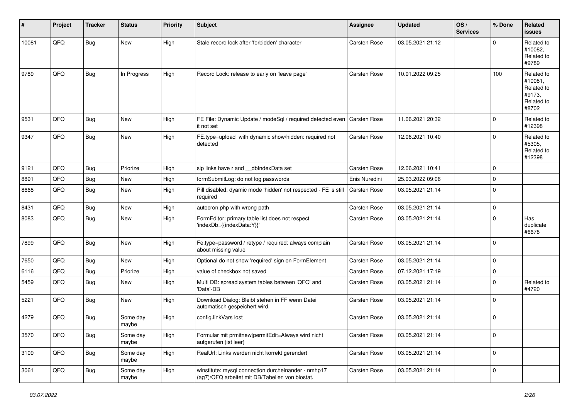| #     | Project | <b>Tracker</b> | <b>Status</b>     | <b>Priority</b> | <b>Subject</b>                                                                                         | <b>Assignee</b>     | <b>Updated</b>   | OS/<br><b>Services</b> | % Done      | <b>Related</b><br>issues                                             |
|-------|---------|----------------|-------------------|-----------------|--------------------------------------------------------------------------------------------------------|---------------------|------------------|------------------------|-------------|----------------------------------------------------------------------|
| 10081 | QFQ     | Bug            | New               | High            | Stale record lock after 'forbidden' character                                                          | Carsten Rose        | 03.05.2021 21:12 |                        | $\Omega$    | Related to<br>#10082.<br>Related to<br>#9789                         |
| 9789  | QFQ     | Bug            | In Progress       | High            | Record Lock: release to early on 'leave page'                                                          | Carsten Rose        | 10.01.2022 09:25 |                        | 100         | Related to<br>#10081,<br>Related to<br>#9173,<br>Related to<br>#8702 |
| 9531  | QFQ     | Bug            | New               | High            | FE File: Dynamic Update / modeSql / required detected even<br>it not set                               | Carsten Rose        | 11.06.2021 20:32 |                        | $\Omega$    | Related to<br>#12398                                                 |
| 9347  | QFQ     | <b>Bug</b>     | <b>New</b>        | High            | FE.type=upload with dynamic show/hidden: required not<br>detected                                      | <b>Carsten Rose</b> | 12.06.2021 10:40 |                        | $\Omega$    | Related to<br>#5305,<br>Related to<br>#12398                         |
| 9121  | QFQ     | <b>Bug</b>     | Priorize          | High            | sip links have r and __dbIndexData set                                                                 | Carsten Rose        | 12.06.2021 10:41 |                        | $\mathbf 0$ |                                                                      |
| 8891  | QFQ     | Bug            | New               | High            | formSubmitLog: do not log passwords                                                                    | Enis Nuredini       | 25.03.2022 09:06 |                        | $\Omega$    |                                                                      |
| 8668  | QFQ     | <b>Bug</b>     | New               | High            | Pill disabled: dyamic mode 'hidden' not respected - FE is still<br>required                            | <b>Carsten Rose</b> | 03.05.2021 21:14 |                        | $\Omega$    |                                                                      |
| 8431  | QFQ     | Bug            | New               | High            | autocron.php with wrong path                                                                           | Carsten Rose        | 03.05.2021 21:14 |                        | $\mathbf 0$ |                                                                      |
| 8083  | QFQ     | <b>Bug</b>     | <b>New</b>        | High            | FormEditor: primary table list does not respect<br>'indexDb={{indexData:Y}}'                           | Carsten Rose        | 03.05.2021 21:14 |                        | $\Omega$    | Has<br>duplicate<br>#6678                                            |
| 7899  | QFQ     | <b>Bug</b>     | <b>New</b>        | High            | Fe.type=password / retype / required: always complain<br>about missing value                           | Carsten Rose        | 03.05.2021 21:14 |                        | $\Omega$    |                                                                      |
| 7650  | QFQ     | Bug            | <b>New</b>        | High            | Optional do not show 'required' sign on FormElement                                                    | Carsten Rose        | 03.05.2021 21:14 |                        | $\mathbf 0$ |                                                                      |
| 6116  | QFQ     | <b>Bug</b>     | Priorize          | High            | value of checkbox not saved                                                                            | Carsten Rose        | 07.12.2021 17:19 |                        | $\Omega$    |                                                                      |
| 5459  | QFQ     | Bug            | New               | High            | Multi DB: spread system tables between 'QFQ' and<br>'Data'-DB                                          | Carsten Rose        | 03.05.2021 21:14 |                        | $\Omega$    | Related to<br>#4720                                                  |
| 5221  | QFQ     | <b>Bug</b>     | New               | High            | Download Dialog: Bleibt stehen in FF wenn Datei<br>automatisch gespeichert wird.                       | Carsten Rose        | 03.05.2021 21:14 |                        | $\Omega$    |                                                                      |
| 4279  | QFQ     | Bug            | Some day<br>maybe | High            | config.linkVars lost                                                                                   | Carsten Rose        | 03.05.2021 21:14 |                        | $\Omega$    |                                                                      |
| 3570  | QFQ     | <b>Bug</b>     | Some day<br>maybe | High            | Formular mit prmitnew permitEdit=Always wird nicht<br>aufgerufen (ist leer)                            | Carsten Rose        | 03.05.2021 21:14 |                        | $\mathbf 0$ |                                                                      |
| 3109  | QFQ     | <b>Bug</b>     | Some day<br>maybe | High            | RealUrl: Links werden nicht korrekt gerendert                                                          | Carsten Rose        | 03.05.2021 21:14 |                        | 0           |                                                                      |
| 3061  | QFQ     | Bug            | Some day<br>maybe | High            | winstitute: mysql connection durcheinander - nmhp17<br>(ag7)/QFQ arbeitet mit DB/Tabellen von biostat. | Carsten Rose        | 03.05.2021 21:14 |                        | $\mathbf 0$ |                                                                      |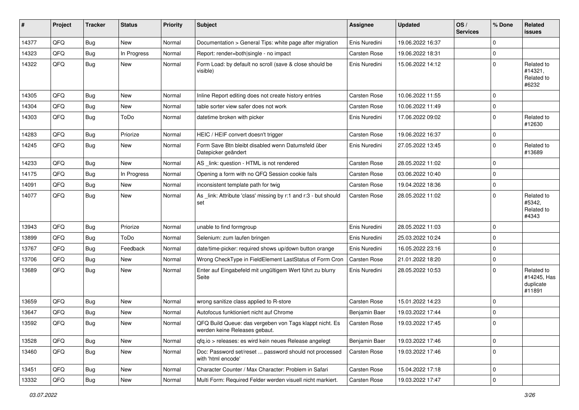| #     | Project | <b>Tracker</b> | <b>Status</b> | <b>Priority</b> | <b>Subject</b>                                                                           | Assignee            | <b>Updated</b>   | OS/<br><b>Services</b> | % Done      | Related<br><b>issues</b>                         |
|-------|---------|----------------|---------------|-----------------|------------------------------------------------------------------------------------------|---------------------|------------------|------------------------|-------------|--------------------------------------------------|
| 14377 | QFQ     | Bug            | <b>New</b>    | Normal          | Documentation > General Tips: white page after migration                                 | Enis Nuredini       | 19.06.2022 16:37 |                        | $\mathbf 0$ |                                                  |
| 14323 | QFQ     | Bug            | In Progress   | Normal          | Report: render=both single - no impact                                                   | <b>Carsten Rose</b> | 19.06.2022 18:31 |                        | $\mathbf 0$ |                                                  |
| 14322 | QFQ     | Bug            | New           | Normal          | Form Load: by default no scroll (save & close should be<br>visible)                      | Enis Nuredini       | 15.06.2022 14:12 |                        | $\mathbf 0$ | Related to<br>#14321,<br>Related to<br>#6232     |
| 14305 | QFQ     | Bug            | <b>New</b>    | Normal          | Inline Report editing does not create history entries                                    | <b>Carsten Rose</b> | 10.06.2022 11:55 |                        | $\mathbf 0$ |                                                  |
| 14304 | QFQ     | Bug            | <b>New</b>    | Normal          | table sorter view safer does not work                                                    | Carsten Rose        | 10.06.2022 11:49 |                        | $\mathbf 0$ |                                                  |
| 14303 | QFQ     | Bug            | ToDo          | Normal          | datetime broken with picker                                                              | Enis Nuredini       | 17.06.2022 09:02 |                        | $\mathbf 0$ | Related to<br>#12630                             |
| 14283 | QFQ     | <b>Bug</b>     | Priorize      | Normal          | HEIC / HEIF convert doesn't trigger                                                      | <b>Carsten Rose</b> | 19.06.2022 16:37 |                        | $\mathbf 0$ |                                                  |
| 14245 | QFQ     | Bug            | New           | Normal          | Form Save Btn bleibt disabled wenn Datumsfeld über<br>Datepicker geändert                | Enis Nuredini       | 27.05.2022 13:45 |                        | $\Omega$    | Related to<br>#13689                             |
| 14233 | QFQ     | Bug            | <b>New</b>    | Normal          | AS _link: question - HTML is not rendered                                                | Carsten Rose        | 28.05.2022 11:02 |                        | $\mathbf 0$ |                                                  |
| 14175 | QFQ     | Bug            | In Progress   | Normal          | Opening a form with no QFQ Session cookie fails                                          | <b>Carsten Rose</b> | 03.06.2022 10:40 |                        | $\mathbf 0$ |                                                  |
| 14091 | QFQ     | Bug            | <b>New</b>    | Normal          | inconsistent template path for twig                                                      | Carsten Rose        | 19.04.2022 18:36 |                        | $\mathbf 0$ |                                                  |
| 14077 | QFQ     | Bug            | New           | Normal          | As _link: Attribute 'class' missing by r:1 and r:3 - but should<br>set                   | <b>Carsten Rose</b> | 28.05.2022 11:02 |                        | $\mathbf 0$ | Related to<br>#5342,<br>Related to<br>#4343      |
| 13943 | QFQ     | Bug            | Priorize      | Normal          | unable to find formgroup                                                                 | Enis Nuredini       | 28.05.2022 11:03 |                        | $\mathbf 0$ |                                                  |
| 13899 | QFQ     | <b>Bug</b>     | ToDo          | Normal          | Selenium: zum laufen bringen                                                             | Enis Nuredini       | 25.03.2022 10:24 |                        | $\mathbf 0$ |                                                  |
| 13767 | QFQ     | <b>Bug</b>     | Feedback      | Normal          | date/time-picker: required shows up/down button orange                                   | Enis Nuredini       | 16.05.2022 23:16 |                        | $\mathbf 0$ |                                                  |
| 13706 | QFQ     | Bug            | New           | Normal          | Wrong CheckType in FieldElement LastStatus of Form Cron                                  | <b>Carsten Rose</b> | 21.01.2022 18:20 |                        | $\mathbf 0$ |                                                  |
| 13689 | QFQ     | Bug            | <b>New</b>    | Normal          | Enter auf Eingabefeld mit ungültigem Wert führt zu blurry<br>Seite                       | Enis Nuredini       | 28.05.2022 10:53 |                        | $\mathbf 0$ | Related to<br>#14245, Has<br>duplicate<br>#11891 |
| 13659 | QFQ     | <b>Bug</b>     | <b>New</b>    | Normal          | wrong sanitize class applied to R-store                                                  | Carsten Rose        | 15.01.2022 14:23 |                        | $\mathbf 0$ |                                                  |
| 13647 | QFQ     | <b>Bug</b>     | <b>New</b>    | Normal          | Autofocus funktioniert nicht auf Chrome                                                  | Benjamin Baer       | 19.03.2022 17:44 |                        | $\mathbf 0$ |                                                  |
| 13592 | QFQ     | Bug            | New           | Normal          | QFQ Build Queue: das vergeben von Tags klappt nicht. Es<br>werden keine Releases gebaut. | Carsten Rose        | 19.03.2022 17:45 |                        | $\mathbf 0$ |                                                  |
| 13528 | QFQ     | <b>Bug</b>     | <b>New</b>    | Normal          | gfg.io > releases: es wird kein neues Release angelegt                                   | Benjamin Baer       | 19.03.2022 17:46 |                        | $\mathbf 0$ |                                                  |
| 13460 | QFQ     | <b>Bug</b>     | New           | Normal          | Doc: Password set/reset  password should not processed<br>with 'html encode'             | Carsten Rose        | 19.03.2022 17:46 |                        | $\mathbf 0$ |                                                  |
| 13451 | QFQ     | Bug            | <b>New</b>    | Normal          | Character Counter / Max Character: Problem in Safari                                     | Carsten Rose        | 15.04.2022 17:18 |                        | $\pmb{0}$   |                                                  |
| 13332 | QFQ     | Bug            | New           | Normal          | Multi Form: Required Felder werden visuell nicht markiert.                               | Carsten Rose        | 19.03.2022 17:47 |                        | $\pmb{0}$   |                                                  |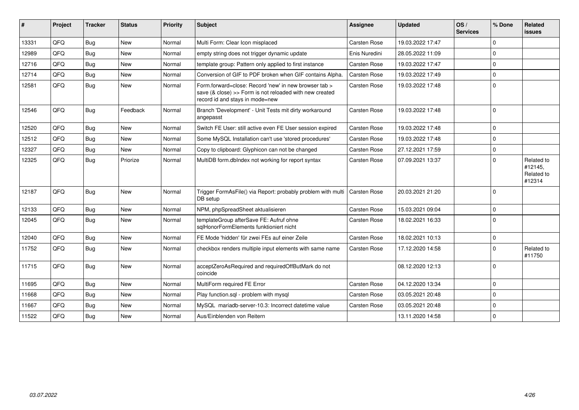| #     | Project    | <b>Tracker</b> | <b>Status</b> | <b>Priority</b> | Subject                                                                                                                                             | <b>Assignee</b>     | <b>Updated</b>   | OS/<br><b>Services</b> | % Done      | Related<br><b>issues</b>                      |
|-------|------------|----------------|---------------|-----------------|-----------------------------------------------------------------------------------------------------------------------------------------------------|---------------------|------------------|------------------------|-------------|-----------------------------------------------|
| 13331 | QFQ        | Bug            | <b>New</b>    | Normal          | Multi Form: Clear Icon misplaced                                                                                                                    | <b>Carsten Rose</b> | 19.03.2022 17:47 |                        | $\mathbf 0$ |                                               |
| 12989 | QFQ        | Bug            | <b>New</b>    | Normal          | empty string does not trigger dynamic update                                                                                                        | Enis Nuredini       | 28.05.2022 11:09 |                        | $\mathbf 0$ |                                               |
| 12716 | QFQ        | Bug            | <b>New</b>    | Normal          | template group: Pattern only applied to first instance                                                                                              | <b>Carsten Rose</b> | 19.03.2022 17:47 |                        | $\Omega$    |                                               |
| 12714 | <b>OFO</b> | Bug            | <b>New</b>    | Normal          | Conversion of GIF to PDF broken when GIF contains Alpha.                                                                                            | Carsten Rose        | 19.03.2022 17:49 |                        | $\Omega$    |                                               |
| 12581 | QFQ        | Bug            | New           | Normal          | Form.forward=close: Record 'new' in new browser tab ><br>save (& close) >> Form is not reloaded with new created<br>record id and stays in mode=new | Carsten Rose        | 19.03.2022 17:48 |                        | $\mathbf 0$ |                                               |
| 12546 | QFQ        | Bug            | Feedback      | Normal          | Branch 'Development' - Unit Tests mit dirty workaround<br>angepasst                                                                                 | <b>Carsten Rose</b> | 19.03.2022 17:48 |                        | $\mathbf 0$ |                                               |
| 12520 | QFQ        | <b>Bug</b>     | <b>New</b>    | Normal          | Switch FE User: still active even FE User session expired                                                                                           | <b>Carsten Rose</b> | 19.03.2022 17:48 |                        | $\mathbf 0$ |                                               |
| 12512 | QFQ        | Bug            | <b>New</b>    | Normal          | Some MySQL Installation can't use 'stored procedures'                                                                                               | Carsten Rose        | 19.03.2022 17:48 |                        | $\mathbf 0$ |                                               |
| 12327 | QFQ        | Bug            | <b>New</b>    | Normal          | Copy to clipboard: Glyphicon can not be changed                                                                                                     | Carsten Rose        | 27.12.2021 17:59 |                        | $\mathbf 0$ |                                               |
| 12325 | QFQ        | Bug            | Priorize      | Normal          | MultiDB form.dblndex not working for report syntax                                                                                                  | <b>Carsten Rose</b> | 07.09.2021 13:37 |                        | $\mathbf 0$ | Related to<br>#12145.<br>Related to<br>#12314 |
| 12187 | QFQ        | Bug            | <b>New</b>    | Normal          | Trigger FormAsFile() via Report: probably problem with multi<br>DB setup                                                                            | <b>Carsten Rose</b> | 20.03.2021 21:20 |                        | $\Omega$    |                                               |
| 12133 | QFQ        | Bug            | <b>New</b>    | Normal          | NPM, phpSpreadSheet aktualisieren                                                                                                                   | Carsten Rose        | 15.03.2021 09:04 |                        | $\mathbf 0$ |                                               |
| 12045 | <b>OFO</b> | Bug            | <b>New</b>    | Normal          | templateGroup afterSave FE: Aufruf ohne<br>sqlHonorFormElements funktioniert nicht                                                                  | <b>Carsten Rose</b> | 18.02.2021 16:33 |                        | $\Omega$    |                                               |
| 12040 | QFQ        | Bug            | <b>New</b>    | Normal          | FE Mode 'hidden' für zwei FEs auf einer Zeile                                                                                                       | <b>Carsten Rose</b> | 18.02.2021 10:13 |                        | $\mathbf 0$ |                                               |
| 11752 | QFQ        | Bug            | <b>New</b>    | Normal          | checkbox renders multiple input elements with same name                                                                                             | Carsten Rose        | 17.12.2020 14:58 |                        | $\Omega$    | Related to<br>#11750                          |
| 11715 | QFQ        | Bug            | <b>New</b>    | Normal          | acceptZeroAsRequired and requiredOffButMark do not<br>coincide                                                                                      |                     | 08.12.2020 12:13 |                        | $\mathbf 0$ |                                               |
| 11695 | QFQ        | Bug            | <b>New</b>    | Normal          | MultiForm required FE Error                                                                                                                         | Carsten Rose        | 04.12.2020 13:34 |                        | $\mathbf 0$ |                                               |
| 11668 | QFQ        | <b>Bug</b>     | <b>New</b>    | Normal          | Play function.sql - problem with mysql                                                                                                              | <b>Carsten Rose</b> | 03.05.2021 20:48 |                        | $\mathbf 0$ |                                               |
| 11667 | QFQ        | Bug            | <b>New</b>    | Normal          | MySQL mariadb-server-10.3: Incorrect datetime value                                                                                                 | <b>Carsten Rose</b> | 03.05.2021 20:48 |                        | $\mathbf 0$ |                                               |
| 11522 | QFQ        | <b>Bug</b>     | New           | Normal          | Aus/Einblenden von Reitern                                                                                                                          |                     | 13.11.2020 14:58 |                        | $\mathbf 0$ |                                               |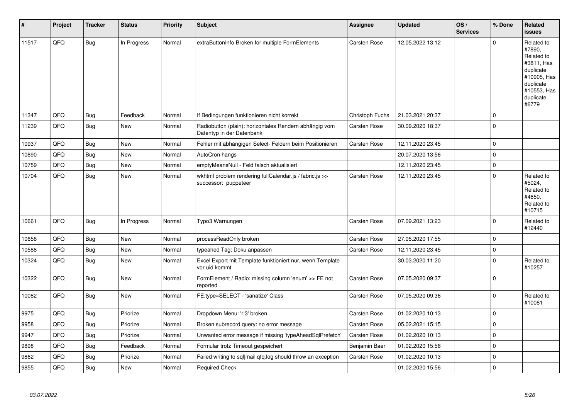| #     | Project | <b>Tracker</b> | <b>Status</b> | <b>Priority</b> | <b>Subject</b>                                                                      | <b>Assignee</b>     | <b>Updated</b>   | OS/<br><b>Services</b> | % Done      | Related<br><b>issues</b>                                                                                                       |
|-------|---------|----------------|---------------|-----------------|-------------------------------------------------------------------------------------|---------------------|------------------|------------------------|-------------|--------------------------------------------------------------------------------------------------------------------------------|
| 11517 | QFQ     | <b>Bug</b>     | In Progress   | Normal          | extraButtonInfo Broken for multiple FormElements                                    | <b>Carsten Rose</b> | 12.05.2022 13:12 |                        | $\Omega$    | Related to<br>#7890.<br>Related to<br>#3811, Has<br>duplicate<br>#10905, Has<br>duplicate<br>#10553, Has<br>duplicate<br>#6779 |
| 11347 | QFQ     | <b>Bug</b>     | Feedback      | Normal          | If Bedingungen funktionieren nicht korrekt                                          | Christoph Fuchs     | 21.03.2021 20:37 |                        | $\mathbf 0$ |                                                                                                                                |
| 11239 | QFQ     | <b>Bug</b>     | <b>New</b>    | Normal          | Radiobutton (plain): horizontales Rendern abhängig vom<br>Datentyp in der Datenbank | <b>Carsten Rose</b> | 30.09.2020 18:37 |                        | $\mathbf 0$ |                                                                                                                                |
| 10937 | QFQ     | <b>Bug</b>     | <b>New</b>    | Normal          | Fehler mit abhängigen Select- Feldern beim Positionieren                            | Carsten Rose        | 12.11.2020 23:45 |                        | $\mathbf 0$ |                                                                                                                                |
| 10890 | QFQ     | Bug            | <b>New</b>    | Normal          | AutoCron hangs                                                                      |                     | 20.07.2020 13:56 |                        | $\mathbf 0$ |                                                                                                                                |
| 10759 | QFQ     | <b>Bug</b>     | <b>New</b>    | Normal          | emptyMeansNull - Feld falsch aktualisiert                                           |                     | 12.11.2020 23:45 |                        | $\mathbf 0$ |                                                                                                                                |
| 10704 | QFQ     | Bug            | New           | Normal          | wkhtml problem rendering fullCalendar.js / fabric.js >><br>successor: puppeteer     | Carsten Rose        | 12.11.2020 23:45 |                        | $\Omega$    | Related to<br>#5024,<br>Related to<br>#4650.<br>Related to<br>#10715                                                           |
| 10661 | QFQ     | Bug            | In Progress   | Normal          | Typo3 Warnungen                                                                     | <b>Carsten Rose</b> | 07.09.2021 13:23 |                        | $\Omega$    | Related to<br>#12440                                                                                                           |
| 10658 | QFQ     | <b>Bug</b>     | <b>New</b>    | Normal          | processReadOnly broken                                                              | <b>Carsten Rose</b> | 27.05.2020 17:55 |                        | $\mathbf 0$ |                                                                                                                                |
| 10588 | QFQ     | <b>Bug</b>     | New           | Normal          | typeahed Tag: Doku anpassen                                                         | Carsten Rose        | 12.11.2020 23:45 |                        | $\mathbf 0$ |                                                                                                                                |
| 10324 | QFQ     | <b>Bug</b>     | <b>New</b>    | Normal          | Excel Export mit Template funktioniert nur, wenn Template<br>vor uid kommt          |                     | 30.03.2020 11:20 |                        | $\mathbf 0$ | Related to<br>#10257                                                                                                           |
| 10322 | QFQ     | <b>Bug</b>     | <b>New</b>    | Normal          | FormElement / Radio: missing column 'enum' >> FE not<br>reported                    | <b>Carsten Rose</b> | 07.05.2020 09:37 |                        | $\mathbf 0$ |                                                                                                                                |
| 10082 | QFQ     | Bug            | New           | Normal          | FE.type=SELECT - 'sanatize' Class                                                   | Carsten Rose        | 07.05.2020 09:36 |                        | $\mathbf 0$ | Related to<br>#10081                                                                                                           |
| 9975  | QFQ     | Bug            | Priorize      | Normal          | Dropdown Menu: 'r:3' broken                                                         | <b>Carsten Rose</b> | 01.02.2020 10:13 |                        | $\Omega$    |                                                                                                                                |
| 9958  | QFQ     | <b>Bug</b>     | Priorize      | Normal          | Broken subrecord query: no error message                                            | Carsten Rose        | 05.02.2021 15:15 |                        | $\mathbf 0$ |                                                                                                                                |
| 9947  | QFQ     | <b>Bug</b>     | Priorize      | Normal          | Unwanted error message if missing 'typeAheadSqlPrefetch'                            | <b>Carsten Rose</b> | 01.02.2020 10:13 |                        | $\mathbf 0$ |                                                                                                                                |
| 9898  | QFQ     | <b>Bug</b>     | Feedback      | Normal          | Formular trotz Timeout gespeichert                                                  | Benjamin Baer       | 01.02.2020 15:56 |                        | $\mathbf 0$ |                                                                                                                                |
| 9862  | QFQ     | Bug            | Priorize      | Normal          | Failed writing to sql mail qfq.log should throw an exception                        | Carsten Rose        | 01.02.2020 10:13 |                        | $\mathbf 0$ |                                                                                                                                |
| 9855  | QFQ     | <b>Bug</b>     | New           | Normal          | <b>Required Check</b>                                                               |                     | 01.02.2020 15:56 |                        | $\mathbf 0$ |                                                                                                                                |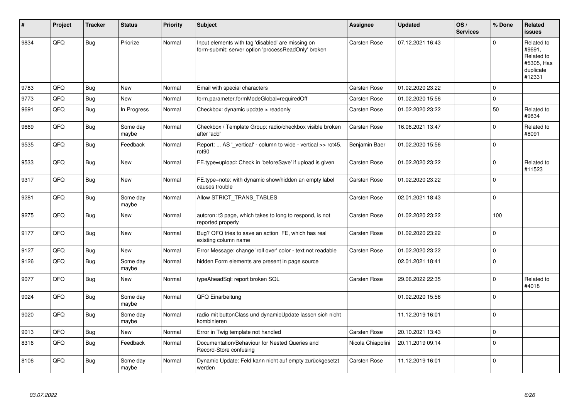| #    | Project | <b>Tracker</b> | <b>Status</b>     | <b>Priority</b> | <b>Subject</b>                                                                                           | <b>Assignee</b>     | <b>Updated</b>   | OS/<br><b>Services</b> | % Done      | Related<br><b>issues</b>                                                |
|------|---------|----------------|-------------------|-----------------|----------------------------------------------------------------------------------------------------------|---------------------|------------------|------------------------|-------------|-------------------------------------------------------------------------|
| 9834 | QFQ     | Bug            | Priorize          | Normal          | Input elements with tag 'disabled' are missing on<br>form-submit: server option 'processReadOnly' broken | Carsten Rose        | 07.12.2021 16:43 |                        | $\Omega$    | Related to<br>#9691,<br>Related to<br>#5305, Has<br>duplicate<br>#12331 |
| 9783 | QFQ     | Bug            | <b>New</b>        | Normal          | Email with special characters                                                                            | <b>Carsten Rose</b> | 01.02.2020 23:22 |                        | 0           |                                                                         |
| 9773 | QFQ     | Bug            | <b>New</b>        | Normal          | form.parameter.formModeGlobal=requiredOff                                                                | <b>Carsten Rose</b> | 01.02.2020 15:56 |                        | $\mathbf 0$ |                                                                         |
| 9691 | QFQ     | <b>Bug</b>     | In Progress       | Normal          | Checkbox: dynamic update > readonly                                                                      | Carsten Rose        | 01.02.2020 23:22 |                        | 50          | Related to<br>#9834                                                     |
| 9669 | QFQ     | Bug            | Some day<br>maybe | Normal          | Checkbox / Template Group: radio/checkbox visible broken<br>after 'add'                                  | Carsten Rose        | 16.06.2021 13:47 |                        | $\mathbf 0$ | Related to<br>#8091                                                     |
| 9535 | QFQ     | Bug            | Feedback          | Normal          | Report:  AS ' vertical' - column to wide - vertical >> rot45,<br>rot <sub>90</sub>                       | Benjamin Baer       | 01.02.2020 15:56 |                        | $\mathbf 0$ |                                                                         |
| 9533 | QFQ     | <b>Bug</b>     | <b>New</b>        | Normal          | FE.type=upload: Check in 'beforeSave' if upload is given                                                 | <b>Carsten Rose</b> | 01.02.2020 23:22 |                        | $\pmb{0}$   | Related to<br>#11523                                                    |
| 9317 | QFQ     | <b>Bug</b>     | <b>New</b>        | Normal          | FE.type=note: with dynamic show/hidden an empty label<br>causes trouble                                  | Carsten Rose        | 01.02.2020 23:22 |                        | $\pmb{0}$   |                                                                         |
| 9281 | QFQ     | <b>Bug</b>     | Some day<br>maybe | Normal          | Allow STRICT_TRANS_TABLES                                                                                | Carsten Rose        | 02.01.2021 18:43 |                        | $\mathbf 0$ |                                                                         |
| 9275 | QFQ     | <b>Bug</b>     | New               | Normal          | autcron: t3 page, which takes to long to respond, is not<br>reported properly                            | <b>Carsten Rose</b> | 01.02.2020 23:22 |                        | 100         |                                                                         |
| 9177 | QFQ     | Bug            | New               | Normal          | Bug? QFQ tries to save an action FE, which has real<br>existing column name                              | <b>Carsten Rose</b> | 01.02.2020 23:22 |                        | $\mathbf 0$ |                                                                         |
| 9127 | QFQ     | <b>Bug</b>     | <b>New</b>        | Normal          | Error Message: change 'roll over' color - text not readable                                              | Carsten Rose        | 01.02.2020 23:22 |                        | $\pmb{0}$   |                                                                         |
| 9126 | QFQ     | Bug            | Some day<br>maybe | Normal          | hidden Form elements are present in page source                                                          |                     | 02.01.2021 18:41 |                        | $\Omega$    |                                                                         |
| 9077 | QFQ     | Bug            | New               | Normal          | typeAheadSql: report broken SQL                                                                          | Carsten Rose        | 29.06.2022 22:35 |                        | $\Omega$    | Related to<br>#4018                                                     |
| 9024 | QFQ     | Bug            | Some day<br>maybe | Normal          | QFQ Einarbeitung                                                                                         |                     | 01.02.2020 15:56 |                        | $\pmb{0}$   |                                                                         |
| 9020 | QFQ     | <b>Bug</b>     | Some day<br>maybe | Normal          | radio mit buttonClass und dynamicUpdate lassen sich nicht<br>kombinieren                                 |                     | 11.12.2019 16:01 |                        | $\mathbf 0$ |                                                                         |
| 9013 | QFQ     | Bug            | New               | Normal          | Error in Twig template not handled                                                                       | Carsten Rose        | 20.10.2021 13:43 |                        | $\pmb{0}$   |                                                                         |
| 8316 | QFQ     | Bug            | Feedback          | Normal          | Documentation/Behaviour for Nested Queries and<br>Record-Store confusing                                 | Nicola Chiapolini   | 20.11.2019 09:14 |                        | $\Omega$    |                                                                         |
| 8106 | QFQ     | Bug            | Some day<br>maybe | Normal          | Dynamic Update: Feld kann nicht auf empty zurückgesetzt<br>werden                                        | Carsten Rose        | 11.12.2019 16:01 |                        | $\mathbf 0$ |                                                                         |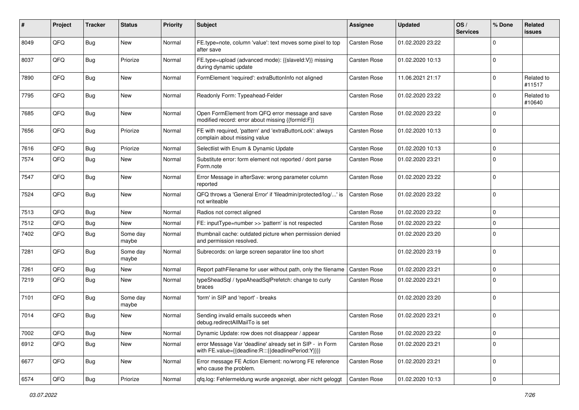| #    | Project | <b>Tracker</b> | <b>Status</b>     | <b>Priority</b> | <b>Subject</b>                                                                                                   | <b>Assignee</b>     | <b>Updated</b>   | OS/<br><b>Services</b> | % Done      | <b>Related</b><br><b>issues</b> |
|------|---------|----------------|-------------------|-----------------|------------------------------------------------------------------------------------------------------------------|---------------------|------------------|------------------------|-------------|---------------------------------|
| 8049 | QFQ     | Bug            | <b>New</b>        | Normal          | FE.type=note, column 'value': text moves some pixel to top<br>after save                                         | Carsten Rose        | 01.02.2020 23:22 |                        | $\mathbf 0$ |                                 |
| 8037 | QFQ     | Bug            | Priorize          | Normal          | FE.type=upload (advanced mode): {{slaveId:V}} missing<br>during dynamic update                                   | <b>Carsten Rose</b> | 01.02.2020 10:13 |                        | $\mathbf 0$ |                                 |
| 7890 | QFQ     | Bug            | <b>New</b>        | Normal          | FormElement 'required': extraButtonInfo not aligned                                                              | Carsten Rose        | 11.06.2021 21:17 |                        | $\mathbf 0$ | Related to<br>#11517            |
| 7795 | QFQ     | Bug            | <b>New</b>        | Normal          | Readonly Form: Typeahead-Felder                                                                                  | <b>Carsten Rose</b> | 01.02.2020 23:22 |                        | $\mathbf 0$ | Related to<br>#10640            |
| 7685 | QFQ     | Bug            | New               | Normal          | Open FormElement from QFQ error message and save<br>modified record: error about missing {{formId:F}}            | <b>Carsten Rose</b> | 01.02.2020 23:22 |                        | $\mathbf 0$ |                                 |
| 7656 | QFQ     | Bug            | Priorize          | Normal          | FE with required, 'pattern' and 'extraButtonLock': always<br>complain about missing value                        | <b>Carsten Rose</b> | 01.02.2020 10:13 |                        | $\mathbf 0$ |                                 |
| 7616 | QFQ     | Bug            | Priorize          | Normal          | Selectlist with Enum & Dynamic Update                                                                            | <b>Carsten Rose</b> | 01.02.2020 10:13 |                        | $\mathbf 0$ |                                 |
| 7574 | QFQ     | <b>Bug</b>     | New               | Normal          | Substitute error: form element not reported / dont parse<br>Form.note                                            | <b>Carsten Rose</b> | 01.02.2020 23:21 |                        | $\mathbf 0$ |                                 |
| 7547 | QFQ     | <b>Bug</b>     | <b>New</b>        | Normal          | Error Message in afterSave: wrong parameter column<br>reported                                                   | Carsten Rose        | 01.02.2020 23:22 |                        | $\mathbf 0$ |                                 |
| 7524 | QFQ     | Bug            | New               | Normal          | QFQ throws a 'General Error' if 'fileadmin/protected/log/' is<br>not writeable                                   | Carsten Rose        | 01.02.2020 23:22 |                        | $\mathbf 0$ |                                 |
| 7513 | QFQ     | Bug            | <b>New</b>        | Normal          | Radios not correct aligned                                                                                       | <b>Carsten Rose</b> | 01.02.2020 23:22 |                        | $\mathbf 0$ |                                 |
| 7512 | QFQ     | Bug            | New               | Normal          | FE: inputType=number >> 'pattern' is not respected                                                               | Carsten Rose        | 01.02.2020 23:22 |                        | $\mathbf 0$ |                                 |
| 7402 | QFQ     | <b>Bug</b>     | Some day<br>maybe | Normal          | thumbnail cache: outdated picture when permission denied<br>and permission resolved.                             |                     | 01.02.2020 23:20 |                        | $\mathbf 0$ |                                 |
| 7281 | QFQ     | <b>Bug</b>     | Some day<br>maybe | Normal          | Subrecords: on large screen separator line too short                                                             |                     | 01.02.2020 23:19 |                        | $\mathbf 0$ |                                 |
| 7261 | QFQ     | <b>Bug</b>     | New               | Normal          | Report pathFilename for user without path, only the filename                                                     | <b>Carsten Rose</b> | 01.02.2020 23:21 |                        | $\mathbf 0$ |                                 |
| 7219 | QFQ     | Bug            | <b>New</b>        | Normal          | typeSheadSql / typeAheadSqlPrefetch: change to curly<br>braces                                                   | Carsten Rose        | 01.02.2020 23:21 |                        | $\mathbf 0$ |                                 |
| 7101 | QFQ     | Bug            | Some day<br>maybe | Normal          | 'form' in SIP and 'report' - breaks                                                                              |                     | 01.02.2020 23:20 |                        | $\mathbf 0$ |                                 |
| 7014 | QFQ     | <b>Bug</b>     | <b>New</b>        | Normal          | Sending invalid emails succeeds when<br>debug.redirectAllMailTo is set                                           | <b>Carsten Rose</b> | 01.02.2020 23:21 |                        | $\mathbf 0$ |                                 |
| 7002 | QFQ     | <b>Bug</b>     | New               | Normal          | Dynamic Update: row does not disappear / appear                                                                  | Carsten Rose        | 01.02.2020 23:22 |                        | $\pmb{0}$   |                                 |
| 6912 | QFQ     | <b>Bug</b>     | New               | Normal          | error Message Var 'deadline' already set in SIP - in Form<br>with FE.value={{deadline:R:::{{deadlinePeriod:Y}}}} | Carsten Rose        | 01.02.2020 23:21 |                        | $\mathbf 0$ |                                 |
| 6677 | QFQ     | Bug            | New               | Normal          | Error message FE Action Element: no/wrong FE reference<br>who cause the problem.                                 | Carsten Rose        | 01.02.2020 23:21 |                        | $\mathbf 0$ |                                 |
| 6574 | QFQ     | <b>Bug</b>     | Priorize          | Normal          | qfq.log: Fehlermeldung wurde angezeigt, aber nicht geloggt                                                       | Carsten Rose        | 01.02.2020 10:13 |                        | $\pmb{0}$   |                                 |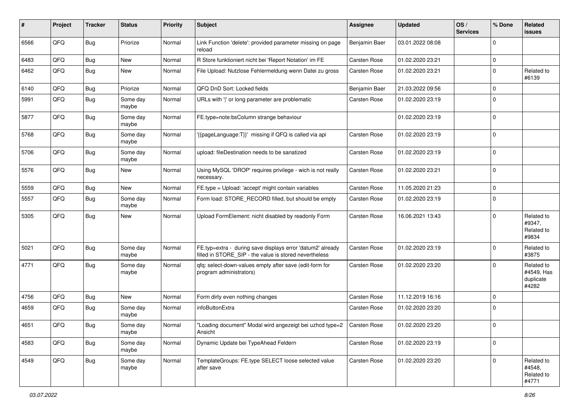| #    | Project | <b>Tracker</b> | <b>Status</b>     | <b>Priority</b> | <b>Subject</b>                                                                                                       | <b>Assignee</b>     | <b>Updated</b>   | OS/<br><b>Services</b> | % Done      | Related<br><b>issues</b>                       |
|------|---------|----------------|-------------------|-----------------|----------------------------------------------------------------------------------------------------------------------|---------------------|------------------|------------------------|-------------|------------------------------------------------|
| 6566 | QFQ     | Bug            | Priorize          | Normal          | Link Function 'delete': provided parameter missing on page<br>reload                                                 | Benjamin Baer       | 03.01.2022 08:08 |                        | $\mathbf 0$ |                                                |
| 6483 | QFQ     | Bug            | <b>New</b>        | Normal          | R Store funktioniert nicht bei 'Report Notation' im FE                                                               | <b>Carsten Rose</b> | 01.02.2020 23:21 |                        | $\mathbf 0$ |                                                |
| 6462 | QFQ     | Bug            | New               | Normal          | File Upload: Nutzlose Fehlermeldung wenn Datei zu gross                                                              | <b>Carsten Rose</b> | 01.02.2020 23:21 |                        | $\mathbf 0$ | Related to<br>#6139                            |
| 6140 | QFQ     | Bug            | Priorize          | Normal          | QFQ DnD Sort: Locked fields                                                                                          | Benjamin Baer       | 21.03.2022 09:56 |                        | $\mathbf 0$ |                                                |
| 5991 | QFQ     | Bug            | Some day<br>maybe | Normal          | URLs with ' ' or long parameter are problematic                                                                      | <b>Carsten Rose</b> | 01.02.2020 23:19 |                        | $\mathbf 0$ |                                                |
| 5877 | QFQ     | Bug            | Some day<br>maybe | Normal          | FE.type=note:bsColumn strange behaviour                                                                              |                     | 01.02.2020 23:19 |                        | $\mathbf 0$ |                                                |
| 5768 | QFQ     | Bug            | Some day<br>maybe | Normal          | '{{pageLanguage:T}}' missing if QFQ is called via api                                                                | <b>Carsten Rose</b> | 01.02.2020 23:19 |                        | $\mathbf 0$ |                                                |
| 5706 | QFQ     | Bug            | Some day<br>maybe | Normal          | upload: fileDestination needs to be sanatized                                                                        | <b>Carsten Rose</b> | 01.02.2020 23:19 |                        | $\mathbf 0$ |                                                |
| 5576 | QFQ     | Bug            | New               | Normal          | Using MySQL 'DROP' requires privilege - wich is not really<br>necessary.                                             | <b>Carsten Rose</b> | 01.02.2020 23:21 |                        | $\mathbf 0$ |                                                |
| 5559 | QFQ     | Bug            | New               | Normal          | FE.type = Upload: 'accept' might contain variables                                                                   | <b>Carsten Rose</b> | 11.05.2020 21:23 |                        | $\mathsf 0$ |                                                |
| 5557 | QFQ     | Bug            | Some day<br>maybe | Normal          | Form load: STORE_RECORD filled, but should be empty                                                                  | <b>Carsten Rose</b> | 01.02.2020 23:19 |                        | $\mathbf 0$ |                                                |
| 5305 | QFQ     | Bug            | <b>New</b>        | Normal          | Upload FormElement: nicht disabled by readonly Form                                                                  | Carsten Rose        | 16.06.2021 13:43 |                        | $\mathbf 0$ | Related to<br>#9347,<br>Related to<br>#9834    |
| 5021 | QFQ     | Bug            | Some day<br>maybe | Normal          | FE.typ=extra - during save displays error 'datum2' already<br>filled in STORE_SIP - the value is stored nevertheless | Carsten Rose        | 01.02.2020 23:19 |                        | $\mathbf 0$ | Related to<br>#3875                            |
| 4771 | QFQ     | Bug            | Some day<br>maybe | Normal          | qfq: select-down-values empty after save (edit-form for<br>program administrators)                                   | <b>Carsten Rose</b> | 01.02.2020 23:20 |                        | $\mathbf 0$ | Related to<br>#4549, Has<br>duplicate<br>#4282 |
| 4756 | QFQ     | Bug            | <b>New</b>        | Normal          | Form dirty even nothing changes                                                                                      | <b>Carsten Rose</b> | 11.12.2019 16:16 |                        | $\mathbf 0$ |                                                |
| 4659 | QFQ     | Bug            | Some day<br>maybe | Normal          | infoButtonExtra                                                                                                      | Carsten Rose        | 01.02.2020 23:20 |                        | $\mathbf 0$ |                                                |
| 4651 | QFQ     | Bug            | Some day<br>maybe | Normal          | "Loading document" Modal wird angezeigt bei uzhcd type=2   Carsten Rose<br>Ansicht                                   |                     | 01.02.2020 23:20 |                        | $\mathbf 0$ |                                                |
| 4583 | QFQ     | Bug            | Some day<br>maybe | Normal          | Dynamic Update bei TypeAhead Feldern                                                                                 | Carsten Rose        | 01.02.2020 23:19 |                        | $\mathbf 0$ |                                                |
| 4549 | QFQ     | <b>Bug</b>     | Some day<br>maybe | Normal          | TemplateGroups: FE.type SELECT loose selected value<br>after save                                                    | Carsten Rose        | 01.02.2020 23:20 |                        | $\mathbf 0$ | Related to<br>#4548,<br>Related to<br>#4771    |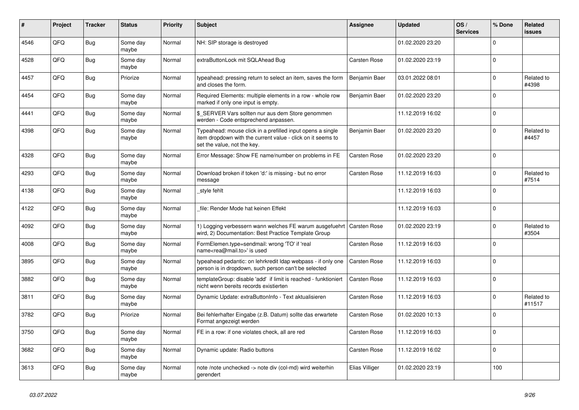| #    | Project | <b>Tracker</b> | <b>Status</b>     | <b>Priority</b> | <b>Subject</b>                                                                                                                                           | Assignee            | <b>Updated</b>   | OS/<br><b>Services</b> | % Done      | <b>Related</b><br><b>issues</b> |
|------|---------|----------------|-------------------|-----------------|----------------------------------------------------------------------------------------------------------------------------------------------------------|---------------------|------------------|------------------------|-------------|---------------------------------|
| 4546 | QFQ     | <b>Bug</b>     | Some day<br>maybe | Normal          | NH: SIP storage is destroyed                                                                                                                             |                     | 01.02.2020 23:20 |                        | $\Omega$    |                                 |
| 4528 | QFQ     | Bug            | Some day<br>maybe | Normal          | extraButtonLock mit SQLAhead Bug                                                                                                                         | Carsten Rose        | 01.02.2020 23:19 |                        | $\Omega$    |                                 |
| 4457 | QFQ     | Bug            | Priorize          | Normal          | typeahead: pressing return to select an item, saves the form<br>and closes the form.                                                                     | Benjamin Baer       | 03.01.2022 08:01 |                        | $\Omega$    | Related to<br>#4398             |
| 4454 | QFQ     | <b>Bug</b>     | Some day<br>maybe | Normal          | Required Elements: multiple elements in a row - whole row<br>marked if only one input is empty.                                                          | Benjamin Baer       | 01.02.2020 23:20 |                        | $\Omega$    |                                 |
| 4441 | QFQ     | Bug            | Some day<br>maybe | Normal          | \$ SERVER Vars sollten nur aus dem Store genommen<br>werden - Code entsprechend anpassen.                                                                |                     | 11.12.2019 16:02 |                        | $\mathbf 0$ |                                 |
| 4398 | QFQ     | Bug            | Some day<br>maybe | Normal          | Typeahead: mouse click in a prefilled input opens a single<br>item dropdown with the current value - click on it seems to<br>set the value, not the key. | Benjamin Baer       | 01.02.2020 23:20 |                        | $\Omega$    | Related to<br>#4457             |
| 4328 | QFQ     | Bug            | Some day<br>maybe | Normal          | Error Message: Show FE name/number on problems in FE                                                                                                     | Carsten Rose        | 01.02.2020 23:20 |                        | $\mathbf 0$ |                                 |
| 4293 | QFQ     | Bug            | Some day<br>maybe | Normal          | Download broken if token 'd:' is missing - but no error<br>message                                                                                       | Carsten Rose        | 11.12.2019 16:03 |                        | $\Omega$    | Related to<br>#7514             |
| 4138 | QFQ     | <b>Bug</b>     | Some day<br>maybe | Normal          | _style fehlt                                                                                                                                             |                     | 11.12.2019 16:03 |                        | $\Omega$    |                                 |
| 4122 | QFQ     | <b>Bug</b>     | Some day<br>maybe | Normal          | file: Render Mode hat keinen Effekt                                                                                                                      |                     | 11.12.2019 16:03 |                        | $\mathbf 0$ |                                 |
| 4092 | QFQ     | Bug            | Some day<br>maybe | Normal          | 1) Logging verbessern wann welches FE warum ausgefuehrt<br>wird, 2) Documentation: Best Practice Template Group                                          | Carsten Rose        | 01.02.2020 23:19 |                        | $\Omega$    | Related to<br>#3504             |
| 4008 | QFQ     | <b>Bug</b>     | Some day<br>maybe | Normal          | FormElemen.type=sendmail: wrong 'TO' if 'real<br>name <rea@mail.to>' is used</rea@mail.to>                                                               | Carsten Rose        | 11.12.2019 16:03 |                        | $\Omega$    |                                 |
| 3895 | QFQ     | <b>Bug</b>     | Some day<br>maybe | Normal          | typeahead pedantic: on lehrkredit Idap webpass - if only one<br>person is in dropdown, such person can't be selected                                     | <b>Carsten Rose</b> | 11.12.2019 16:03 |                        | $\mathbf 0$ |                                 |
| 3882 | QFQ     | Bug            | Some day<br>maybe | Normal          | templateGroup: disable 'add' if limit is reached - funktioniert<br>nicht wenn bereits records existierten                                                | <b>Carsten Rose</b> | 11.12.2019 16:03 |                        | $\mathbf 0$ |                                 |
| 3811 | QFQ     | <b>Bug</b>     | Some day<br>maybe | Normal          | Dynamic Update: extraButtonInfo - Text aktualisieren                                                                                                     | Carsten Rose        | 11.12.2019 16:03 |                        | $\Omega$    | Related to<br>#11517            |
| 3782 | QFQ     | Bug            | Priorize          | Normal          | Bei fehlerhafter Eingabe (z.B. Datum) sollte das erwartete<br>Format angezeigt werden                                                                    | Carsten Rose        | 01.02.2020 10:13 |                        | $\Omega$    |                                 |
| 3750 | QFQ     | <b>Bug</b>     | Some day<br>maybe | Normal          | FE in a row: if one violates check, all are red                                                                                                          | <b>Carsten Rose</b> | 11.12.2019 16:03 |                        | $\mathbf 0$ |                                 |
| 3682 | QFQ     | <b>Bug</b>     | Some day<br>maybe | Normal          | Dynamic update: Radio buttons                                                                                                                            | Carsten Rose        | 11.12.2019 16:02 |                        | $\Omega$    |                                 |
| 3613 | QFQ     | Bug            | Some day<br>maybe | Normal          | note /note unchecked -> note div (col-md) wird weiterhin<br>gerendert                                                                                    | Elias Villiger      | 01.02.2020 23:19 |                        | 100         |                                 |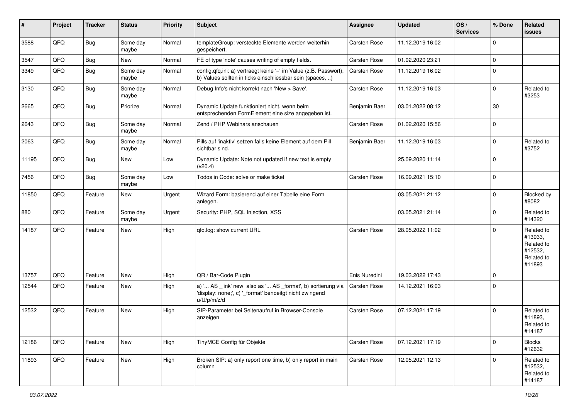| #     | Project | <b>Tracker</b> | <b>Status</b>     | <b>Priority</b> | <b>Subject</b>                                                                                                                        | Assignee      | <b>Updated</b>   | OS/<br><b>Services</b> | % Done       | Related<br>issues                                                      |
|-------|---------|----------------|-------------------|-----------------|---------------------------------------------------------------------------------------------------------------------------------------|---------------|------------------|------------------------|--------------|------------------------------------------------------------------------|
| 3588  | QFQ     | Bug            | Some day<br>maybe | Normal          | templateGroup: versteckte Elemente werden weiterhin<br>gespeichert.                                                                   | Carsten Rose  | 11.12.2019 16:02 |                        | $\mathbf 0$  |                                                                        |
| 3547  | QFQ     | Bug            | New               | Normal          | FE of type 'note' causes writing of empty fields.                                                                                     | Carsten Rose  | 01.02.2020 23:21 |                        | $\mathbf 0$  |                                                                        |
| 3349  | QFQ     | Bug            | Some day<br>maybe | Normal          | config.qfq.ini: a) vertraegt keine '=' im Value (z.B. Passwort),<br>b) Values sollten in ticks einschliessbar sein (spaces, )         | Carsten Rose  | 11.12.2019 16:02 |                        | $\Omega$     |                                                                        |
| 3130  | QFQ     | Bug            | Some day<br>maybe | Normal          | Debug Info's nicht korrekt nach 'New > Save'.                                                                                         | Carsten Rose  | 11.12.2019 16:03 |                        | $\mathbf 0$  | Related to<br>#3253                                                    |
| 2665  | QFQ     | Bug            | Priorize          | Normal          | Dynamic Update funktioniert nicht, wenn beim<br>entsprechenden FormElement eine size angegeben ist.                                   | Benjamin Baer | 03.01.2022 08:12 |                        | 30           |                                                                        |
| 2643  | QFQ     | Bug            | Some day<br>maybe | Normal          | Zend / PHP Webinars anschauen                                                                                                         | Carsten Rose  | 01.02.2020 15:56 |                        | 0            |                                                                        |
| 2063  | QFQ     | Bug            | Some day<br>maybe | Normal          | Pills auf 'inaktiv' setzen falls keine Element auf dem Pill<br>sichtbar sind.                                                         | Benjamin Baer | 11.12.2019 16:03 |                        | $\Omega$     | Related to<br>#3752                                                    |
| 11195 | QFQ     | Bug            | New               | Low             | Dynamic Update: Note not updated if new text is empty<br>(v20.4)                                                                      |               | 25.09.2020 11:14 |                        | $\mathbf 0$  |                                                                        |
| 7456  | QFQ     | Bug            | Some day<br>maybe | Low             | Todos in Code: solve or make ticket                                                                                                   | Carsten Rose  | 16.09.2021 15:10 |                        | $\Omega$     |                                                                        |
| 11850 | QFQ     | Feature        | <b>New</b>        | Urgent          | Wizard Form: basierend auf einer Tabelle eine Form<br>anlegen.                                                                        |               | 03.05.2021 21:12 |                        | $\mathbf 0$  | Blocked by<br>#8082                                                    |
| 880   | QFQ     | Feature        | Some day<br>maybe | Urgent          | Security: PHP, SQL Injection, XSS                                                                                                     |               | 03.05.2021 21:14 |                        | $\Omega$     | Related to<br>#14320                                                   |
| 14187 | QFQ     | Feature        | New               | High            | qfq.log: show current URL                                                                                                             | Carsten Rose  | 28.05.2022 11:02 |                        | $\mathbf 0$  | Related to<br>#13933,<br>Related to<br>#12532,<br>Related to<br>#11893 |
| 13757 | QFQ     | Feature        | <b>New</b>        | High            | QR / Bar-Code Plugin                                                                                                                  | Enis Nuredini | 19.03.2022 17:43 |                        | $\Omega$     |                                                                        |
| 12544 | QFQ     | Feature        | New               | High            | a) ' AS _link' new also as ' AS _format', b) sortierung via<br>'display: none;', c) '_format' benoeitgt nicht zwingend<br>u/U/p/m/z/d | Carsten Rose  | 14.12.2021 16:03 |                        | $\Omega$     |                                                                        |
| 12532 | QFQ     | Feature        | <b>New</b>        | High            | SIP-Parameter bei Seitenaufruf in Browser-Console<br>anzeigen                                                                         | Carsten Rose  | 07.12.2021 17:19 |                        | $\Omega$     | Related to<br>#11893.<br>Related to<br>#14187                          |
| 12186 | QFQ     | Feature        | New               | High            | TinyMCE Config für Objekte                                                                                                            | Carsten Rose  | 07.12.2021 17:19 |                        | 0            | <b>Blocks</b><br>#12632                                                |
| 11893 | QFQ     | Feature        | New               | High            | Broken SIP: a) only report one time, b) only report in main<br>column                                                                 | Carsten Rose  | 12.05.2021 12:13 |                        | $\mathbf{0}$ | Related to<br>#12532,<br>Related to<br>#14187                          |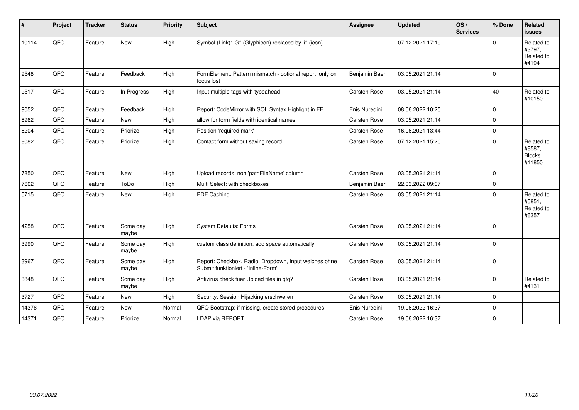| #     | Project | <b>Tracker</b> | <b>Status</b>     | <b>Priority</b> | <b>Subject</b>                                                                               | Assignee            | <b>Updated</b>   | OS/<br><b>Services</b> | % Done      | Related<br><b>issues</b>                        |
|-------|---------|----------------|-------------------|-----------------|----------------------------------------------------------------------------------------------|---------------------|------------------|------------------------|-------------|-------------------------------------------------|
| 10114 | QFQ     | Feature        | <b>New</b>        | High            | Symbol (Link): 'G:' (Glyphicon) replaced by 'i:' (icon)                                      |                     | 07.12.2021 17:19 |                        | $\Omega$    | Related to<br>#3797,<br>Related to<br>#4194     |
| 9548  | QFQ     | Feature        | Feedback          | High            | FormElement: Pattern mismatch - optional report only on<br>focus lost                        | Benjamin Baer       | 03.05.2021 21:14 |                        | $\mathbf 0$ |                                                 |
| 9517  | QFQ     | Feature        | In Progress       | High            | Input multiple tags with typeahead                                                           | <b>Carsten Rose</b> | 03.05.2021 21:14 |                        | 40          | Related to<br>#10150                            |
| 9052  | QFQ     | Feature        | Feedback          | High            | Report: CodeMirror with SQL Syntax Highlight in FE                                           | Enis Nuredini       | 08.06.2022 10:25 |                        | $\Omega$    |                                                 |
| 8962  | QFQ     | Feature        | <b>New</b>        | High            | allow for form fields with identical names                                                   | Carsten Rose        | 03.05.2021 21:14 |                        | $\mathbf 0$ |                                                 |
| 8204  | QFQ     | Feature        | Priorize          | High            | Position 'required mark'                                                                     | <b>Carsten Rose</b> | 16.06.2021 13:44 |                        | $\pmb{0}$   |                                                 |
| 8082  | QFQ     | Feature        | Priorize          | High            | Contact form without saving record                                                           | Carsten Rose        | 07.12.2021 15:20 |                        | $\mathbf 0$ | Related to<br>#8587,<br><b>Blocks</b><br>#11850 |
| 7850  | QFQ     | Feature        | <b>New</b>        | High            | Upload records: non 'pathFileName' column                                                    | <b>Carsten Rose</b> | 03.05.2021 21:14 |                        | $\mathbf 0$ |                                                 |
| 7602  | QFQ     | Feature        | ToDo              | High            | Multi Select: with checkboxes                                                                | Benjamin Baer       | 22.03.2022 09:07 |                        | $\mathbf 0$ |                                                 |
| 5715  | QFQ     | Feature        | New               | High            | PDF Caching                                                                                  | Carsten Rose        | 03.05.2021 21:14 |                        | $\mathbf 0$ | Related to<br>#5851,<br>Related to<br>#6357     |
| 4258  | QFQ     | Feature        | Some day<br>maybe | High            | System Defaults: Forms                                                                       | Carsten Rose        | 03.05.2021 21:14 |                        | $\mathbf 0$ |                                                 |
| 3990  | QFQ     | Feature        | Some day<br>maybe | High            | custom class definition: add space automatically                                             | Carsten Rose        | 03.05.2021 21:14 |                        | $\mathbf 0$ |                                                 |
| 3967  | QFQ     | Feature        | Some day<br>maybe | High            | Report: Checkbox, Radio, Dropdown, Input welches ohne<br>Submit funktioniert - 'Inline-Form' | Carsten Rose        | 03.05.2021 21:14 |                        | $\mathbf 0$ |                                                 |
| 3848  | QFQ     | Feature        | Some day<br>maybe | High            | Antivirus check fuer Upload files in qfq?                                                    | Carsten Rose        | 03.05.2021 21:14 |                        | $\mathbf 0$ | Related to<br>#4131                             |
| 3727  | QFQ     | Feature        | <b>New</b>        | High            | Security: Session Hijacking erschweren                                                       | Carsten Rose        | 03.05.2021 21:14 |                        | $\mathbf 0$ |                                                 |
| 14376 | QFQ     | Feature        | <b>New</b>        | Normal          | QFQ Bootstrap: if missing, create stored procedures                                          | Enis Nuredini       | 19.06.2022 16:37 |                        | $\mathbf 0$ |                                                 |
| 14371 | QFQ     | Feature        | Priorize          | Normal          | LDAP via REPORT                                                                              | Carsten Rose        | 19.06.2022 16:37 |                        | $\mathbf 0$ |                                                 |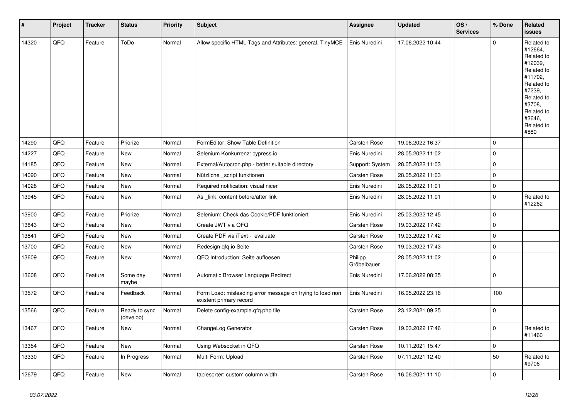| $\vert$ # | Project | <b>Tracker</b> | <b>Status</b>              | Priority | <b>Subject</b>                                                                       | <b>Assignee</b>        | <b>Updated</b>   | OS/<br><b>Services</b> | % Done       | Related<br><b>issues</b>                                                                                                                                              |
|-----------|---------|----------------|----------------------------|----------|--------------------------------------------------------------------------------------|------------------------|------------------|------------------------|--------------|-----------------------------------------------------------------------------------------------------------------------------------------------------------------------|
| 14320     | QFQ     | Feature        | ToDo                       | Normal   | Allow specific HTML Tags and Attributes: general, TinyMCE                            | Enis Nuredini          | 17.06.2022 10:44 |                        | $\mathbf{0}$ | Related to<br>#12664,<br>Related to<br>#12039,<br>Related to<br>#11702,<br>Related to<br>#7239,<br>Related to<br>#3708,<br>Related to<br>#3646,<br>Related to<br>#880 |
| 14290     | QFQ     | Feature        | Priorize                   | Normal   | FormEditor: Show Table Definition                                                    | <b>Carsten Rose</b>    | 19.06.2022 16:37 |                        | $\Omega$     |                                                                                                                                                                       |
| 14227     | QFQ     | Feature        | New                        | Normal   | Selenium Konkurrenz: cypress.io                                                      | Enis Nuredini          | 28.05.2022 11:02 |                        | $\pmb{0}$    |                                                                                                                                                                       |
| 14185     | QFQ     | Feature        | New                        | Normal   | External/Autocron.php - better suitable directory                                    | Support: System        | 28.05.2022 11:03 |                        | $\mathsf 0$  |                                                                                                                                                                       |
| 14090     | QFQ     | Feature        | <b>New</b>                 | Normal   | Nützliche _script funktionen                                                         | Carsten Rose           | 28.05.2022 11:03 |                        | $\mathbf 0$  |                                                                                                                                                                       |
| 14028     | QFQ     | Feature        | <b>New</b>                 | Normal   | Required notification: visual nicer                                                  | Enis Nuredini          | 28.05.2022 11:01 |                        | $\mathbf{0}$ |                                                                                                                                                                       |
| 13945     | QFQ     | Feature        | <b>New</b>                 | Normal   | As link: content before/after link                                                   | Enis Nuredini          | 28.05.2022 11:01 |                        | $\mathbf 0$  | Related to<br>#12262                                                                                                                                                  |
| 13900     | QFQ     | Feature        | Priorize                   | Normal   | Selenium: Check das Cookie/PDF funktioniert                                          | Enis Nuredini          | 25.03.2022 12:45 |                        | $\mathbf 0$  |                                                                                                                                                                       |
| 13843     | QFQ     | Feature        | New                        | Normal   | Create JWT via QFQ                                                                   | <b>Carsten Rose</b>    | 19.03.2022 17:42 |                        | $\mathsf 0$  |                                                                                                                                                                       |
| 13841     | QFQ     | Feature        | New                        | Normal   | Create PDF via iText - evaluate                                                      | <b>Carsten Rose</b>    | 19.03.2022 17:42 |                        | $\mathsf 0$  |                                                                                                                                                                       |
| 13700     | QFQ     | Feature        | New                        | Normal   | Redesign gfg.io Seite                                                                | <b>Carsten Rose</b>    | 19.03.2022 17:43 |                        | $\mathsf 0$  |                                                                                                                                                                       |
| 13609     | QFQ     | Feature        | New                        | Normal   | QFQ Introduction: Seite aufloesen                                                    | Philipp<br>Gröbelbauer | 28.05.2022 11:02 |                        | $\mathsf 0$  |                                                                                                                                                                       |
| 13608     | QFQ     | Feature        | Some day<br>maybe          | Normal   | Automatic Browser Language Redirect                                                  | Enis Nuredini          | 17.06.2022 08:35 |                        | $\mathbf 0$  |                                                                                                                                                                       |
| 13572     | QFQ     | Feature        | Feedback                   | Normal   | Form Load: misleading error message on trying to load non<br>existent primary record | Enis Nuredini          | 16.05.2022 23:16 |                        | 100          |                                                                                                                                                                       |
| 13566     | QFQ     | Feature        | Ready to sync<br>(develop) | Normal   | Delete config-example.qfq.php file                                                   | Carsten Rose           | 23.12.2021 09:25 |                        | $\mathbf 0$  |                                                                                                                                                                       |
| 13467     | QFQ     | Feature        | New                        | Normal   | ChangeLog Generator                                                                  | <b>Carsten Rose</b>    | 19.03.2022 17:46 |                        | $\mathbf 0$  | Related to<br>#11460                                                                                                                                                  |
| 13354     | QFQ     | Feature        | <b>New</b>                 | Normal   | Using Websocket in QFQ                                                               | <b>Carsten Rose</b>    | 10.11.2021 15:47 |                        | $\mathsf 0$  |                                                                                                                                                                       |
| 13330     | QFQ     | Feature        | In Progress                | Normal   | Multi Form: Upload                                                                   | Carsten Rose           | 07.11.2021 12:40 |                        | 50           | Related to<br>#9706                                                                                                                                                   |
| 12679     | QFQ     | Feature        | <b>New</b>                 | Normal   | tablesorter: custom column width                                                     | Carsten Rose           | 16.06.2021 11:10 |                        | $\mathbf 0$  |                                                                                                                                                                       |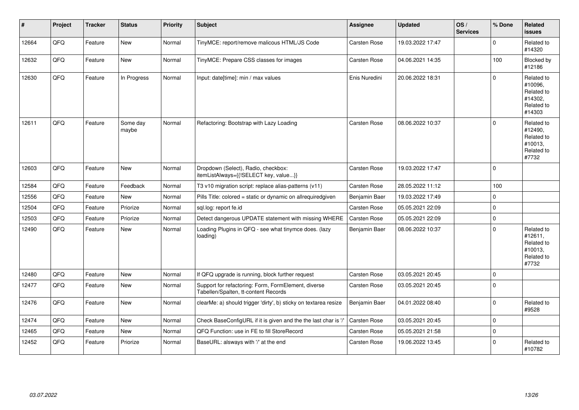| #     | Project | <b>Tracker</b> | <b>Status</b>     | <b>Priority</b> | <b>Subject</b>                                                                              | Assignee            | <b>Updated</b>   | OS/<br><b>Services</b> | % Done      | Related<br><b>issues</b>                                               |
|-------|---------|----------------|-------------------|-----------------|---------------------------------------------------------------------------------------------|---------------------|------------------|------------------------|-------------|------------------------------------------------------------------------|
| 12664 | QFQ     | Feature        | <b>New</b>        | Normal          | TinyMCE: report/remove malicous HTML/JS Code                                                | Carsten Rose        | 19.03.2022 17:47 |                        | $\Omega$    | Related to<br>#14320                                                   |
| 12632 | QFQ     | Feature        | <b>New</b>        | Normal          | TinyMCE: Prepare CSS classes for images                                                     | <b>Carsten Rose</b> | 04.06.2021 14:35 |                        | 100         | Blocked by<br>#12186                                                   |
| 12630 | QFQ     | Feature        | In Progress       | Normal          | Input: date[time]: min / max values                                                         | Enis Nuredini       | 20.06.2022 18:31 |                        | $\Omega$    | Related to<br>#10096,<br>Related to<br>#14302.<br>Related to<br>#14303 |
| 12611 | QFQ     | Feature        | Some day<br>maybe | Normal          | Refactoring: Bootstrap with Lazy Loading                                                    | Carsten Rose        | 08.06.2022 10:37 |                        | $\Omega$    | Related to<br>#12490,<br>Related to<br>#10013,<br>Related to<br>#7732  |
| 12603 | QFQ     | Feature        | New               | Normal          | Dropdown (Select), Radio, checkbox:<br>itemListAlways={{!SELECT key, value}}                | Carsten Rose        | 19.03.2022 17:47 |                        | $\Omega$    |                                                                        |
| 12584 | QFQ     | Feature        | Feedback          | Normal          | T3 v10 migration script: replace alias-patterns (v11)                                       | Carsten Rose        | 28.05.2022 11:12 |                        | 100         |                                                                        |
| 12556 | QFQ     | Feature        | <b>New</b>        | Normal          | Pills Title: colored = static or dynamic on allrequiredgiven                                | Benjamin Baer       | 19.03.2022 17:49 |                        | $\mathbf 0$ |                                                                        |
| 12504 | QFQ     | Feature        | Priorize          | Normal          | sql.log: report fe.id                                                                       | <b>Carsten Rose</b> | 05.05.2021 22:09 |                        | 0           |                                                                        |
| 12503 | QFQ     | Feature        | Priorize          | Normal          | Detect dangerous UPDATE statement with missing WHERE                                        | Carsten Rose        | 05.05.2021 22:09 |                        | 0           |                                                                        |
| 12490 | QFQ     | Feature        | New               | Normal          | Loading Plugins in QFQ - see what tinymce does. (lazy<br>loading)                           | Benjamin Baer       | 08.06.2022 10:37 |                        | $\Omega$    | Related to<br>#12611,<br>Related to<br>#10013,<br>Related to<br>#7732  |
| 12480 | QFQ     | Feature        | <b>New</b>        | Normal          | If QFQ upgrade is running, block further request                                            | <b>Carsten Rose</b> | 03.05.2021 20:45 |                        | $\mathbf 0$ |                                                                        |
| 12477 | QFQ     | Feature        | New               | Normal          | Support for refactoring: Form, FormElement, diverse<br>Tabellen/Spalten, tt-content Records | Carsten Rose        | 03.05.2021 20:45 |                        | $\Omega$    |                                                                        |
| 12476 | QFQ     | Feature        | New               | Normal          | clearMe: a) should trigger 'dirty', b) sticky on textarea resize                            | Benjamin Baer       | 04.01.2022 08:40 |                        | $\Omega$    | Related to<br>#9528                                                    |
| 12474 | QFQ     | Feature        | <b>New</b>        | Normal          | Check BaseConfigURL if it is given and the the last char is '/'                             | <b>Carsten Rose</b> | 03.05.2021 20:45 |                        | $\Omega$    |                                                                        |
| 12465 | QFQ     | Feature        | <b>New</b>        | Normal          | QFQ Function: use in FE to fill StoreRecord                                                 | <b>Carsten Rose</b> | 05.05.2021 21:58 |                        | $\Omega$    |                                                                        |
| 12452 | QFQ     | Feature        | Priorize          | Normal          | BaseURL: alsways with '/' at the end                                                        | <b>Carsten Rose</b> | 19.06.2022 13:45 |                        | $\Omega$    | Related to<br>#10782                                                   |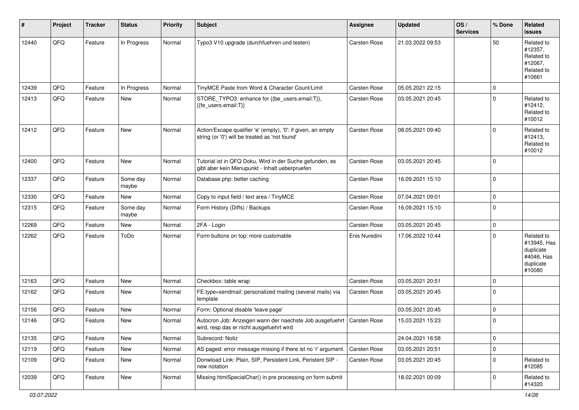| #     | Project | <b>Tracker</b> | <b>Status</b>     | <b>Priority</b> | <b>Subject</b>                                                                                                      | Assignee      | Updated          | OS/<br><b>Services</b> | % Done      | Related<br>issues                                                           |
|-------|---------|----------------|-------------------|-----------------|---------------------------------------------------------------------------------------------------------------------|---------------|------------------|------------------------|-------------|-----------------------------------------------------------------------------|
| 12440 | QFQ     | Feature        | In Progress       | Normal          | Typo3 V10 upgrade (durchfuehren und testen)                                                                         | Carsten Rose  | 21.03.2022 09:53 |                        | 50          | Related to<br>#12357,<br>Related to<br>#12067,<br>Related to<br>#10661      |
| 12439 | QFQ     | Feature        | In Progress       | Normal          | TinyMCE Paste from Word & Character Count/Limit                                                                     | Carsten Rose  | 05.05.2021 22:15 |                        | 0           |                                                                             |
| 12413 | QFQ     | Feature        | New               | Normal          | STORE_TYPO3: enhance for {{be_users.email:T}},<br>{{fe_users.email:T}}                                              | Carsten Rose  | 03.05.2021 20:45 |                        | $\mathbf 0$ | Related to<br>#12412,<br>Related to<br>#10012                               |
| 12412 | QFQ     | Feature        | New               | Normal          | Action/Escape qualifier 'e' (empty), '0': if given, an empty<br>string (or '0') will be treated as 'not found'      | Carsten Rose  | 08.05.2021 09:40 |                        | $\mathbf 0$ | Related to<br>#12413,<br>Related to<br>#10012                               |
| 12400 | QFQ     | Feature        | <b>New</b>        | Normal          | Tutorial ist in QFQ Doku, Wird in der Suche gefunden, es<br>gibt aber kein Menupunkt - Inhalt ueberpruefen          | Carsten Rose  | 03.05.2021 20:45 |                        | $\mathbf 0$ |                                                                             |
| 12337 | QFQ     | Feature        | Some day<br>maybe | Normal          | Database.php: better caching                                                                                        | Carsten Rose  | 16.09.2021 15:10 |                        | $\mathbf 0$ |                                                                             |
| 12330 | QFQ     | Feature        | New               | Normal          | Copy to input field / text area / TinyMCE                                                                           | Carsten Rose  | 07.04.2021 09:01 |                        | $\pmb{0}$   |                                                                             |
| 12315 | QFQ     | Feature        | Some day<br>maybe | Normal          | Form History (Diffs) / Backups                                                                                      | Carsten Rose  | 16.09.2021 15:10 |                        | $\mathbf 0$ |                                                                             |
| 12269 | QFQ     | Feature        | New               | Normal          | 2FA - Login                                                                                                         | Carsten Rose  | 03.05.2021 20:45 |                        | $\pmb{0}$   |                                                                             |
| 12262 | QFQ     | Feature        | ToDo              | Normal          | Form buttons on top: more customable                                                                                | Enis Nuredini | 17.06.2022 10:44 |                        | $\Omega$    | Related to<br>#13945, Has<br>duplicate<br>#4046, Has<br>duplicate<br>#10080 |
| 12163 | QFQ     | Feature        | <b>New</b>        | Normal          | Checkbox: table wrap                                                                                                | Carsten Rose  | 03.05.2021 20:51 |                        | $\mathbf 0$ |                                                                             |
| 12162 | QFQ     | Feature        | New               | Normal          | FE.type=sendmail: personalized mailing (several mails) via<br>template                                              | Carsten Rose  | 03.05.2021 20:45 |                        | $\Omega$    |                                                                             |
| 12156 | QFQ     | Feature        | New               | Normal          | Form: Optional disable 'leave page'                                                                                 |               | 03.05.2021 20:45 |                        | 0           |                                                                             |
| 12146 | QFQ     | Feature        | New               | Normal          | Autocron Job: Anzeigen wann der naechste Job ausgefuehrt   Carsten Rose<br>wird, resp das er nicht ausgefuehrt wird |               | 15.03.2021 15:23 |                        | $\pmb{0}$   |                                                                             |
| 12135 | QFQ     | Feature        | New               | Normal          | Subrecord: Notiz                                                                                                    |               | 24.04.2021 16:58 |                        | 0           |                                                                             |
| 12119 | QFQ     | Feature        | New               | Normal          | AS paged: error message missing if there ist no 'r' argument.                                                       | Carsten Rose  | 03.05.2021 20:51 |                        | 0           |                                                                             |
| 12109 | QFQ     | Feature        | New               | Normal          | Donwload Link: Plain, SIP, Persistent Link, Peristent SIP -<br>new notation                                         | Carsten Rose  | 03.05.2021 20:45 |                        | 0           | Related to<br>#12085                                                        |
| 12039 | QFQ     | Feature        | New               | Normal          | Missing htmlSpecialChar() in pre processing on form submit                                                          |               | 18.02.2021 00:09 |                        | $\pmb{0}$   | Related to<br>#14320                                                        |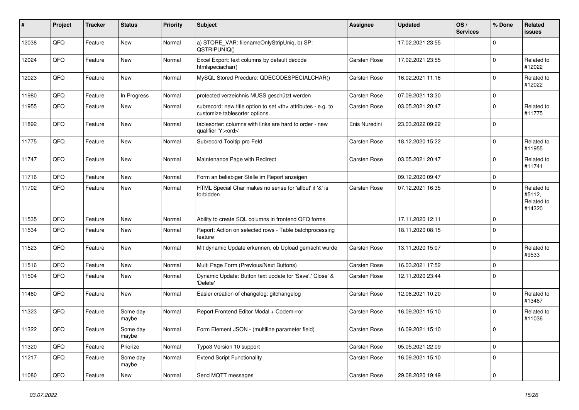| #     | Project | <b>Tracker</b> | <b>Status</b>     | <b>Priority</b> | <b>Subject</b>                                                                                       | Assignee                                               | <b>Updated</b>   | OS/<br><b>Services</b> | % Done       | Related<br><b>issues</b>                     |                      |
|-------|---------|----------------|-------------------|-----------------|------------------------------------------------------------------------------------------------------|--------------------------------------------------------|------------------|------------------------|--------------|----------------------------------------------|----------------------|
| 12038 | QFQ     | Feature        | New               | Normal          | a) STORE_VAR: filenameOnlyStripUniq, b) SP:<br>QSTRIPUNIQ()                                          |                                                        | 17.02.2021 23:55 |                        | $\mathbf 0$  |                                              |                      |
| 12024 | QFQ     | Feature        | New               | Normal          | Excel Export: text columns by default decode<br>htmlspeciachar()                                     | Carsten Rose                                           | 17.02.2021 23:55 |                        | $\mathbf 0$  | Related to<br>#12022                         |                      |
| 12023 | QFQ     | Feature        | New               | Normal          | MySQL Stored Precdure: QDECODESPECIALCHAR()                                                          | Carsten Rose                                           | 16.02.2021 11:16 |                        | $\mathbf 0$  | Related to<br>#12022                         |                      |
| 11980 | QFQ     | Feature        | In Progress       | Normal          | protected verzeichnis MUSS geschützt werden                                                          | <b>Carsten Rose</b>                                    | 07.09.2021 13:30 |                        | $\mathbf 0$  |                                              |                      |
| 11955 | QFQ     | Feature        | New               | Normal          | subrecord: new title option to set <th> attributes - e.g. to<br/>customize tablesorter options.</th> | attributes - e.g. to<br>customize tablesorter options. | Carsten Rose     | 03.05.2021 20:47       |              | $\mathbf 0$                                  | Related to<br>#11775 |
| 11892 | QFQ     | Feature        | New               | Normal          | tablesorter: columns with links are hard to order - new<br>qualifier 'Y: <ord>'</ord>                | Enis Nuredini                                          | 23.03.2022 09:22 |                        | $\mathbf 0$  |                                              |                      |
| 11775 | QFQ     | Feature        | New               | Normal          | Subrecord Tooltip pro Feld                                                                           | Carsten Rose                                           | 18.12.2020 15:22 |                        | $\mathbf 0$  | Related to<br>#11955                         |                      |
| 11747 | QFQ     | Feature        | New               | Normal          | Maintenance Page with Redirect                                                                       | Carsten Rose                                           | 03.05.2021 20:47 |                        | $\mathbf 0$  | Related to<br>#11741                         |                      |
| 11716 | QFQ     | Feature        | <b>New</b>        | Normal          | Form an beliebiger Stelle im Report anzeigen                                                         |                                                        | 09.12.2020 09:47 |                        | $\mathbf 0$  |                                              |                      |
| 11702 | QFQ     | Feature        | New               | Normal          | HTML Special Char makes no sense for 'allbut' if '&' is<br>forbidden                                 | Carsten Rose                                           | 07.12.2021 16:35 |                        | $\mathbf 0$  | Related to<br>#5112,<br>Related to<br>#14320 |                      |
| 11535 | QFQ     | Feature        | New               | Normal          | Ability to create SQL columns in frontend QFQ forms                                                  |                                                        | 17.11.2020 12:11 |                        | $\mathbf 0$  |                                              |                      |
| 11534 | QFQ     | Feature        | <b>New</b>        | Normal          | Report: Action on selected rows - Table batchprocessing<br>feature                                   |                                                        | 18.11.2020 08:15 |                        | $\mathbf 0$  |                                              |                      |
| 11523 | QFQ     | Feature        | New               | Normal          | Mit dynamic Update erkennen, ob Upload gemacht wurde                                                 | Carsten Rose                                           | 13.11.2020 15:07 |                        | $\pmb{0}$    | Related to<br>#9533                          |                      |
| 11516 | QFQ     | Feature        | <b>New</b>        | Normal          | Multi Page Form (Previous/Next Buttons)                                                              | Carsten Rose                                           | 16.03.2021 17:52 |                        | $\mathbf 0$  |                                              |                      |
| 11504 | QFQ     | Feature        | New               | Normal          | Dynamic Update: Button text update for 'Save',' Close' &<br>'Delete'                                 | Carsten Rose                                           | 12.11.2020 23:44 |                        | $\mathbf 0$  |                                              |                      |
| 11460 | QFQ     | Feature        | New               | Normal          | Easier creation of changelog: gitchangelog                                                           | Carsten Rose                                           | 12.06.2021 10:20 |                        | $\mathbf 0$  | Related to<br>#13467                         |                      |
| 11323 | QFQ     | Feature        | Some day<br>maybe | Normal          | Report Frontend Editor Modal + Codemirror                                                            | <b>Carsten Rose</b>                                    | 16.09.2021 15:10 |                        | $\mathbf 0$  | Related to<br>#11036                         |                      |
| 11322 | QFG     | Feature        | Some day<br>maybe | Normal          | Form Element JSON - (multiline parameter field)                                                      | Carsten Rose                                           | 16.09.2021 15:10 |                        | $\mathsf{U}$ |                                              |                      |
| 11320 | QFQ     | Feature        | Priorize          | Normal          | Typo3 Version 10 support                                                                             | Carsten Rose                                           | 05.05.2021 22:09 |                        | $\mathbf 0$  |                                              |                      |
| 11217 | QFQ     | Feature        | Some day<br>maybe | Normal          | <b>Extend Script Functionality</b>                                                                   | Carsten Rose                                           | 16.09.2021 15:10 |                        | $\pmb{0}$    |                                              |                      |
| 11080 | QFQ     | Feature        | New               | Normal          | Send MQTT messages                                                                                   | Carsten Rose                                           | 29.08.2020 19:49 |                        | $\pmb{0}$    |                                              |                      |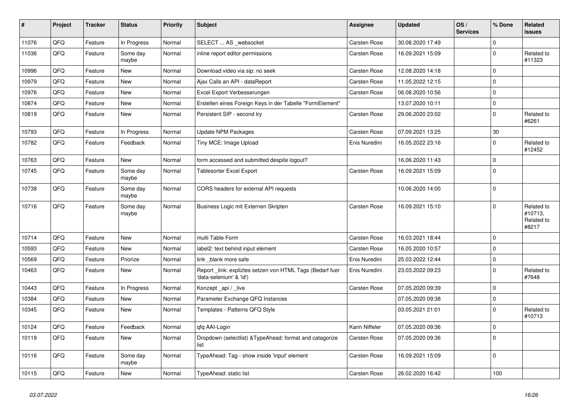| $\vert$ # | Project | <b>Tracker</b> | <b>Status</b>     | Priority | <b>Subject</b>                                                                      | Assignee            | <b>Updated</b>   | OS/<br><b>Services</b> | % Done       | <b>Related</b><br><b>issues</b>              |
|-----------|---------|----------------|-------------------|----------|-------------------------------------------------------------------------------------|---------------------|------------------|------------------------|--------------|----------------------------------------------|
| 11076     | QFQ     | Feature        | In Progress       | Normal   | SELECT  AS _websocket                                                               | <b>Carsten Rose</b> | 30.08.2020 17:49 |                        | $\Omega$     |                                              |
| 11036     | QFQ     | Feature        | Some day<br>maybe | Normal   | inline report editor permissions                                                    | Carsten Rose        | 16.09.2021 15:09 |                        | $\mathbf 0$  | Related to<br>#11323                         |
| 10996     | QFQ     | Feature        | <b>New</b>        | Normal   | Download video via sip: no seek                                                     | Carsten Rose        | 12.08.2020 14:18 |                        | $\mathbf 0$  |                                              |
| 10979     | QFQ     | Feature        | <b>New</b>        | Normal   | Ajax Calls an API - dataReport                                                      | Carsten Rose        | 11.05.2022 12:15 |                        | $\mathbf 0$  |                                              |
| 10976     | QFQ     | Feature        | <b>New</b>        | Normal   | Excel Export Verbesserungen                                                         | Carsten Rose        | 06.08.2020 10:56 |                        | $\mathsf 0$  |                                              |
| 10874     | QFQ     | Feature        | New               | Normal   | Erstellen eines Foreign Keys in der Tabelle "FormElement"                           |                     | 13.07.2020 10:11 |                        | $\mathsf 0$  |                                              |
| 10819     | QFQ     | Feature        | <b>New</b>        | Normal   | Persistent SIP - second try                                                         | <b>Carsten Rose</b> | 29.06.2020 23:02 |                        | $\mathbf 0$  | Related to<br>#6261                          |
| 10793     | QFQ     | Feature        | In Progress       | Normal   | Update NPM Packages                                                                 | <b>Carsten Rose</b> | 07.09.2021 13:25 |                        | $30\,$       |                                              |
| 10782     | QFQ     | Feature        | Feedback          | Normal   | Tiny MCE: Image Upload                                                              | Enis Nuredini       | 16.05.2022 23:16 |                        | $\mathbf 0$  | Related to<br>#12452                         |
| 10763     | QFQ     | Feature        | <b>New</b>        | Normal   | form accessed and submitted despite logout?                                         |                     | 16.06.2020 11:43 |                        | $\mathsf 0$  |                                              |
| 10745     | QFQ     | Feature        | Some day<br>maybe | Normal   | <b>Tablesorter Excel Export</b>                                                     | Carsten Rose        | 16.09.2021 15:09 |                        | $\mathbf 0$  |                                              |
| 10738     | QFQ     | Feature        | Some day<br>maybe | Normal   | CORS headers for external API requests                                              |                     | 10.06.2020 14:00 |                        | $\mathsf 0$  |                                              |
| 10716     | QFQ     | Feature        | Some day<br>maybe | Normal   | Business Logic mit Externen Skripten                                                | Carsten Rose        | 16.09.2021 15:10 |                        | $\mathbf 0$  | Related to<br>#10713,<br>Related to<br>#8217 |
| 10714     | QFQ     | Feature        | <b>New</b>        | Normal   | multi Table Form                                                                    | <b>Carsten Rose</b> | 16.03.2021 18:44 |                        | $\mathbf{0}$ |                                              |
| 10593     | QFQ     | Feature        | <b>New</b>        | Normal   | label2: text behind input element                                                   | <b>Carsten Rose</b> | 16.05.2020 10:57 |                        | $\mathbf 0$  |                                              |
| 10569     | QFQ     | Feature        | Priorize          | Normal   | link blank more safe                                                                | Enis Nuredini       | 25.03.2022 12:44 |                        | $\mathbf 0$  |                                              |
| 10463     | QFQ     | Feature        | New               | Normal   | Report link: expliztes setzen von HTML Tags (Bedarf fuer<br>'data-selenium' & 'id') | Enis Nuredini       | 23.03.2022 09:23 |                        | $\mathbf 0$  | Related to<br>#7648                          |
| 10443     | QFQ     | Feature        | In Progress       | Normal   | Konzept _api / _live                                                                | Carsten Rose        | 07.05.2020 09:39 |                        | $\mathsf 0$  |                                              |
| 10384     | QFQ     | Feature        | New               | Normal   | Parameter Exchange QFQ Instances                                                    |                     | 07.05.2020 09:38 |                        | $\mathbf 0$  |                                              |
| 10345     | QFQ     | Feature        | New               | Normal   | Templates - Patterns QFQ Style                                                      |                     | 03.05.2021 21:01 |                        | $\mathbf 0$  | Related to<br>#10713                         |
| 10124     | QFQ     | Feature        | Feedback          | Normal   | qfq AAI-Login                                                                       | Karin Niffeler      | 07.05.2020 09:36 |                        | $\mathsf 0$  |                                              |
| 10119     | QFQ     | Feature        | New               | Normal   | Dropdown (selectlist) & Type Ahead: format and catagorize<br>list                   | Carsten Rose        | 07.05.2020 09:36 |                        | $\pmb{0}$    |                                              |
| 10116     | QFQ     | Feature        | Some day<br>maybe | Normal   | TypeAhead: Tag - show inside 'input' element                                        | Carsten Rose        | 16.09.2021 15:09 |                        | $\mathbf 0$  |                                              |
| 10115     | QFQ     | Feature        | New               | Normal   | TypeAhead: static list                                                              | <b>Carsten Rose</b> | 26.02.2020 16:42 |                        | 100          |                                              |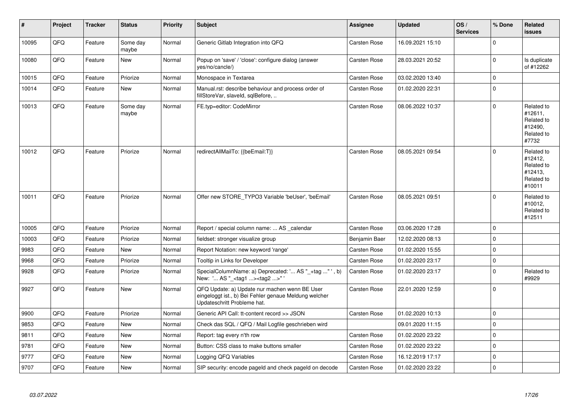| #     | Project | <b>Tracker</b> | <b>Status</b>     | <b>Priority</b> | <b>Subject</b>                                                                                                                        | <b>Assignee</b> | <b>Updated</b>   | OS/<br><b>Services</b> | % Done      | Related<br>issues                                                      |
|-------|---------|----------------|-------------------|-----------------|---------------------------------------------------------------------------------------------------------------------------------------|-----------------|------------------|------------------------|-------------|------------------------------------------------------------------------|
| 10095 | QFQ     | Feature        | Some day<br>maybe | Normal          | Generic Gitlab Integration into QFQ                                                                                                   | Carsten Rose    | 16.09.2021 15:10 |                        | $\Omega$    |                                                                        |
| 10080 | QFQ     | Feature        | New               | Normal          | Popup on 'save' / 'close': configure dialog (answer<br>yes/no/cancle/)                                                                | Carsten Rose    | 28.03.2021 20:52 |                        | $\Omega$    | Is duplicate<br>of #12262                                              |
| 10015 | QFQ     | Feature        | Priorize          | Normal          | Monospace in Textarea                                                                                                                 | Carsten Rose    | 03.02.2020 13:40 |                        | $\Omega$    |                                                                        |
| 10014 | QFQ     | Feature        | New               | Normal          | Manual.rst: describe behaviour and process order of<br>fillStoreVar, slaveId, sqlBefore,                                              | Carsten Rose    | 01.02.2020 22:31 |                        | $\Omega$    |                                                                        |
| 10013 | QFO     | Feature        | Some day<br>maybe | Normal          | FE.typ=editor: CodeMirror                                                                                                             | Carsten Rose    | 08.06.2022 10:37 |                        | $\Omega$    | Related to<br>#12611,<br>Related to<br>#12490,<br>Related to<br>#7732  |
| 10012 | QFQ     | Feature        | Priorize          | Normal          | redirectAllMailTo: {{beEmail:T}}                                                                                                      | Carsten Rose    | 08.05.2021 09:54 |                        | $\Omega$    | Related to<br>#12412.<br>Related to<br>#12413,<br>Related to<br>#10011 |
| 10011 | QFQ     | Feature        | Priorize          | Normal          | Offer new STORE TYPO3 Variable 'beUser', 'beEmail'                                                                                    | Carsten Rose    | 08.05.2021 09:51 |                        | $\Omega$    | Related to<br>#10012,<br>Related to<br>#12511                          |
| 10005 | QFQ     | Feature        | Priorize          | Normal          | Report / special column name:  AS _calendar                                                                                           | Carsten Rose    | 03.06.2020 17:28 |                        | $\Omega$    |                                                                        |
| 10003 | QFQ     | Feature        | Priorize          | Normal          | fieldset: stronger visualize group                                                                                                    | Benjamin Baer   | 12.02.2020 08:13 |                        | $\Omega$    |                                                                        |
| 9983  | QFQ     | Feature        | <b>New</b>        | Normal          | Report Notation: new keyword 'range'                                                                                                  | Carsten Rose    | 01.02.2020 15:55 |                        | $\Omega$    |                                                                        |
| 9968  | QFQ     | Feature        | Priorize          | Normal          | Tooltip in Links for Developer                                                                                                        | Carsten Rose    | 01.02.2020 23:17 |                        | $\Omega$    |                                                                        |
| 9928  | QFQ     | Feature        | Priorize          | Normal          | SpecialColumnName: a) Deprecated: ' AS "_+tag " ', b)<br>New: ' AS "_ <tag1><tag2>"'</tag2></tag1>                                    | Carsten Rose    | 01.02.2020 23:17 |                        | $\Omega$    | Related to<br>#9929                                                    |
| 9927  | QFQ     | Feature        | <b>New</b>        | Normal          | QFQ Update: a) Update nur machen wenn BE User<br>eingeloggt ist., b) Bei Fehler genaue Meldung welcher<br>Updateschritt Probleme hat. | Carsten Rose    | 22.01.2020 12:59 |                        | $\Omega$    |                                                                        |
| 9900  | QFQ     | Feature        | Priorize          | Normal          | Generic API Call: tt-content record >> JSON                                                                                           | Carsten Rose    | 01.02.2020 10:13 |                        | $\Omega$    |                                                                        |
| 9853  | QFQ     | Feature        | <b>New</b>        | Normal          | Check das SQL / QFQ / Mail Logfile geschrieben wird                                                                                   |                 | 09.01.2020 11:15 |                        | $\Omega$    |                                                                        |
| 9811  | QFQ     | Feature        | New               | Normal          | Report: tag every n'th row                                                                                                            | Carsten Rose    | 01.02.2020 23:22 |                        | $\Omega$    |                                                                        |
| 9781  | QFQ     | Feature        | New               | Normal          | Button: CSS class to make buttons smaller                                                                                             | Carsten Rose    | 01.02.2020 23:22 |                        | $\mathbf 0$ |                                                                        |
| 9777  | QFQ     | Feature        | <b>New</b>        | Normal          | Logging QFQ Variables                                                                                                                 | Carsten Rose    | 16.12.2019 17:17 |                        | $\Omega$    |                                                                        |
| 9707  | QFQ     | Feature        | New               | Normal          | SIP security: encode pageld and check pageld on decode                                                                                | Carsten Rose    | 01.02.2020 23:22 |                        | $\Omega$    |                                                                        |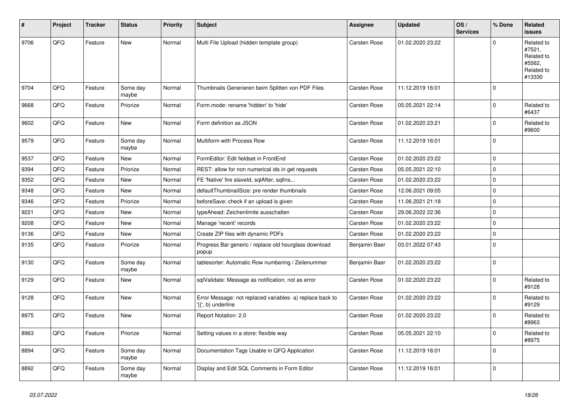| #    | Project | <b>Tracker</b> | <b>Status</b>     | <b>Priority</b> | <b>Subject</b>                                                                  | Assignee            | <b>Updated</b>   | OS/<br><b>Services</b> | % Done      | Related<br><b>issues</b>                                             |
|------|---------|----------------|-------------------|-----------------|---------------------------------------------------------------------------------|---------------------|------------------|------------------------|-------------|----------------------------------------------------------------------|
| 9706 | QFQ     | Feature        | <b>New</b>        | Normal          | Multi File Upload (hidden template group)                                       | <b>Carsten Rose</b> | 01.02.2020 23:22 |                        | $\mathbf 0$ | Related to<br>#7521,<br>Related to<br>#5562,<br>Related to<br>#13330 |
| 9704 | QFQ     | Feature        | Some day<br>maybe | Normal          | Thumbnails Generieren beim Splitten von PDF Files                               | Carsten Rose        | 11.12.2019 16:01 |                        | $\mathbf 0$ |                                                                      |
| 9668 | QFQ     | Feature        | Priorize          | Normal          | Form.mode: rename 'hidden' to 'hide'                                            | Carsten Rose        | 05.05.2021 22:14 |                        | $\mathbf 0$ | Related to<br>#6437                                                  |
| 9602 | QFQ     | Feature        | <b>New</b>        | Normal          | Form definition as JSON                                                         | Carsten Rose        | 01.02.2020 23:21 |                        | $\mathbf 0$ | Related to<br>#9600                                                  |
| 9579 | QFQ     | Feature        | Some day<br>maybe | Normal          | Multiform with Process Row                                                      | Carsten Rose        | 11.12.2019 16:01 |                        | $\mathbf 0$ |                                                                      |
| 9537 | QFQ     | Feature        | <b>New</b>        | Normal          | FormEditor: Edit fieldset in FrontEnd                                           | Carsten Rose        | 01.02.2020 23:22 |                        | $\pmb{0}$   |                                                                      |
| 9394 | QFQ     | Feature        | Priorize          | Normal          | REST: allow for non numerical ids in get requests                               | Carsten Rose        | 05.05.2021 22:10 |                        | $\pmb{0}$   |                                                                      |
| 9352 | QFQ     | Feature        | New               | Normal          | FE 'Native' fire slaveld, sqlAfter, sqllns                                      | Carsten Rose        | 01.02.2020 23:22 |                        | $\pmb{0}$   |                                                                      |
| 9348 | QFQ     | Feature        | <b>New</b>        | Normal          | defaultThumbnailSize: pre render thumbnails                                     | Carsten Rose        | 12.06.2021 09:05 |                        | $\pmb{0}$   |                                                                      |
| 9346 | QFQ     | Feature        | Priorize          | Normal          | beforeSave: check if an upload is given                                         | Carsten Rose        | 11.06.2021 21:18 |                        | $\mathbf 0$ |                                                                      |
| 9221 | QFQ     | Feature        | <b>New</b>        | Normal          | typeAhead: Zeichenlimite ausschalten                                            | Carsten Rose        | 29.06.2022 22:36 |                        | $\mathbf 0$ |                                                                      |
| 9208 | QFQ     | Feature        | <b>New</b>        | Normal          | Manage 'recent' records                                                         | Carsten Rose        | 01.02.2020 23:22 |                        | $\mathbf 0$ |                                                                      |
| 9136 | QFQ     | Feature        | <b>New</b>        | Normal          | Create ZIP files with dynamic PDFs                                              | Carsten Rose        | 01.02.2020 23:22 |                        | $\mathbf 0$ |                                                                      |
| 9135 | QFQ     | Feature        | Priorize          | Normal          | Progress Bar generic / replace old hourglass download<br>popup                  | Benjamin Baer       | 03.01.2022 07:43 |                        | $\mathbf 0$ |                                                                      |
| 9130 | QFQ     | Feature        | Some day<br>maybe | Normal          | tablesorter: Automatic Row numbering / Zeilenummer                              | Benjamin Baer       | 01.02.2020 23:22 |                        | $\pmb{0}$   |                                                                      |
| 9129 | QFQ     | Feature        | <b>New</b>        | Normal          | sqlValidate: Message as notification, not as error                              | Carsten Rose        | 01.02.2020 23:22 |                        | $\mathbf 0$ | Related to<br>#9128                                                  |
| 9128 | QFQ     | Feature        | <b>New</b>        | Normal          | Error Message: not replaced variables- a) replace back to<br>'{{', b) underline | Carsten Rose        | 01.02.2020 23:22 |                        | $\mathbf 0$ | Related to<br>#9129                                                  |
| 8975 | QFQ     | Feature        | <b>New</b>        | Normal          | Report Notation: 2.0                                                            | <b>Carsten Rose</b> | 01.02.2020 23:22 |                        | $\mathbf 0$ | Related to<br>#8963                                                  |
| 8963 | QFQ     | Feature        | Priorize          | Normal          | Setting values in a store: flexible way                                         | Carsten Rose        | 05.05.2021 22:10 |                        | $\mathbf 0$ | Related to<br>#8975                                                  |
| 8894 | QFQ     | Feature        | Some day<br>maybe | Normal          | Documentation Tags Usable in QFQ Application                                    | Carsten Rose        | 11.12.2019 16:01 |                        | $\mathbf 0$ |                                                                      |
| 8892 | QFQ     | Feature        | Some day<br>maybe | Normal          | Display and Edit SQL Comments in Form Editor                                    | Carsten Rose        | 11.12.2019 16:01 |                        | $\mathbf 0$ |                                                                      |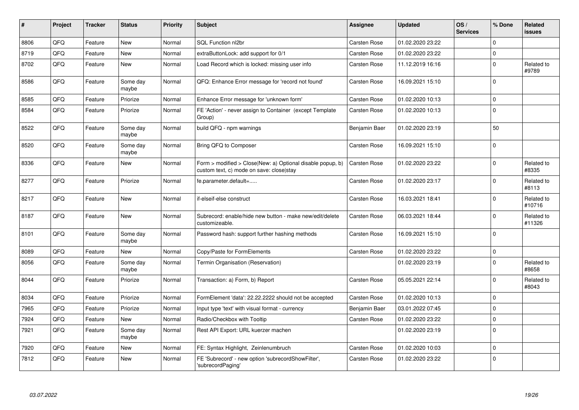| $\vert$ # | <b>Project</b> | <b>Tracker</b> | <b>Status</b>     | <b>Priority</b> | <b>Subject</b>                                                                                         | Assignee            | <b>Updated</b>   | OS/<br><b>Services</b> | % Done       | <b>Related</b><br><b>issues</b> |
|-----------|----------------|----------------|-------------------|-----------------|--------------------------------------------------------------------------------------------------------|---------------------|------------------|------------------------|--------------|---------------------------------|
| 8806      | QFQ            | Feature        | <b>New</b>        | Normal          | SQL Function nl2br                                                                                     | Carsten Rose        | 01.02.2020 23:22 |                        | $\mathbf{0}$ |                                 |
| 8719      | QFQ            | Feature        | New               | Normal          | extraButtonLock: add support for 0/1                                                                   | Carsten Rose        | 01.02.2020 23:22 |                        | $\mathbf 0$  |                                 |
| 8702      | QFQ            | Feature        | <b>New</b>        | Normal          | Load Record which is locked: missing user info                                                         | <b>Carsten Rose</b> | 11.12.2019 16:16 |                        | $\mathbf 0$  | Related to<br>#9789             |
| 8586      | QFQ            | Feature        | Some day<br>maybe | Normal          | QFQ: Enhance Error message for 'record not found'                                                      | <b>Carsten Rose</b> | 16.09.2021 15:10 |                        | $\mathsf 0$  |                                 |
| 8585      | QFQ            | Feature        | Priorize          | Normal          | Enhance Error message for 'unknown form'                                                               | <b>Carsten Rose</b> | 01.02.2020 10:13 |                        | $\mathbf 0$  |                                 |
| 8584      | QFQ            | Feature        | Priorize          | Normal          | FE 'Action' - never assign to Container (except Template<br>Group)                                     | Carsten Rose        | 01.02.2020 10:13 |                        | $\mathsf 0$  |                                 |
| 8522      | QFQ            | Feature        | Some dav<br>maybe | Normal          | build QFQ - npm warnings                                                                               | Benjamin Baer       | 01.02.2020 23:19 |                        | 50           |                                 |
| 8520      | QFQ            | Feature        | Some day<br>maybe | Normal          | Bring QFQ to Composer                                                                                  | <b>Carsten Rose</b> | 16.09.2021 15:10 |                        | $\mathbf 0$  |                                 |
| 8336      | QFQ            | Feature        | New               | Normal          | Form > modified > Close New: a) Optional disable popup, b)<br>custom text, c) mode on save: close stay | Carsten Rose        | 01.02.2020 23:22 |                        | $\mathsf 0$  | Related to<br>#8335             |
| 8277      | QFQ            | Feature        | Priorize          | Normal          | fe.parameter.default=                                                                                  | Carsten Rose        | 01.02.2020 23:17 |                        | $\mathbf 0$  | Related to<br>#8113             |
| 8217      | QFQ            | Feature        | New               | Normal          | if-elseif-else construct                                                                               | <b>Carsten Rose</b> | 16.03.2021 18:41 |                        | $\mathbf 0$  | Related to<br>#10716            |
| 8187      | QFQ            | Feature        | New               | Normal          | Subrecord: enable/hide new button - make new/edit/delete<br>customizeable.                             | Carsten Rose        | 06.03.2021 18:44 |                        | $\mathbf 0$  | Related to<br>#11326            |
| 8101      | QFQ            | Feature        | Some day<br>maybe | Normal          | Password hash: support further hashing methods                                                         | Carsten Rose        | 16.09.2021 15:10 |                        | $\mathbf 0$  |                                 |
| 8089      | QFQ            | Feature        | <b>New</b>        | Normal          | Copy/Paste for FormElements                                                                            | <b>Carsten Rose</b> | 01.02.2020 23:22 |                        | $\mathsf 0$  |                                 |
| 8056      | QFQ            | Feature        | Some day<br>maybe | Normal          | Termin Organisation (Reservation)                                                                      |                     | 01.02.2020 23:19 |                        | $\mathbf{0}$ | Related to<br>#8658             |
| 8044      | QFQ            | Feature        | Priorize          | Normal          | Transaction: a) Form, b) Report                                                                        | <b>Carsten Rose</b> | 05.05.2021 22:14 |                        | $\mathbf 0$  | Related to<br>#8043             |
| 8034      | QFQ            | Feature        | Priorize          | Normal          | FormElement 'data': 22.22.2222 should not be accepted                                                  | Carsten Rose        | 01.02.2020 10:13 |                        | $\mathbf 0$  |                                 |
| 7965      | QFQ            | Feature        | Priorize          | Normal          | Input type 'text' with visual format - currency                                                        | Benjamin Baer       | 03.01.2022 07:45 |                        | $\mathbf 0$  |                                 |
| 7924      | QFQ            | Feature        | <b>New</b>        | Normal          | Radio/Checkbox with Tooltip                                                                            | <b>Carsten Rose</b> | 01.02.2020 23:22 |                        | $\mathbf{0}$ |                                 |
| 7921      | QFQ            | Feature        | Some day<br>maybe | Normal          | Rest API Export: URL kuerzer machen                                                                    |                     | 01.02.2020 23:19 |                        | $\mathsf 0$  |                                 |
| 7920      | QFQ            | Feature        | <b>New</b>        | Normal          | FE: Syntax Highlight, Zeinlenumbruch                                                                   | <b>Carsten Rose</b> | 01.02.2020 10:03 |                        | $\mathbf{0}$ |                                 |
| 7812      | QFQ            | Feature        | New               | Normal          | FE 'Subrecord' - new option 'subrecordShowFilter',<br>'subrecordPaging'                                | <b>Carsten Rose</b> | 01.02.2020 23:22 |                        | $\mathbf 0$  |                                 |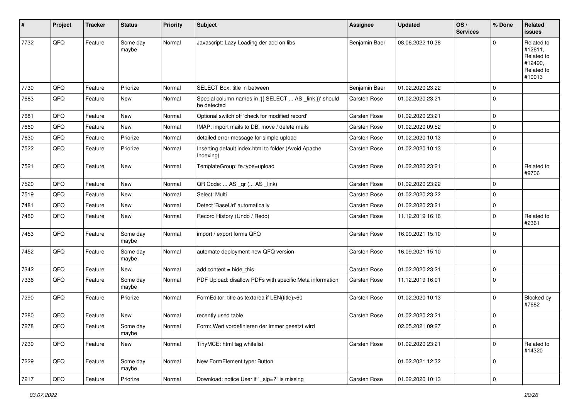| #    | Project        | <b>Tracker</b> | <b>Status</b>     | <b>Priority</b> | <b>Subject</b>                                                         | <b>Assignee</b>     | <b>Updated</b>   | OS/<br><b>Services</b> | % Done      | <b>Related</b><br>issues                                               |
|------|----------------|----------------|-------------------|-----------------|------------------------------------------------------------------------|---------------------|------------------|------------------------|-------------|------------------------------------------------------------------------|
| 7732 | QFQ            | Feature        | Some day<br>maybe | Normal          | Javascript: Lazy Loading der add on libs                               | Benjamin Baer       | 08.06.2022 10:38 |                        | $\Omega$    | Related to<br>#12611,<br>Related to<br>#12490,<br>Related to<br>#10013 |
| 7730 | QFQ            | Feature        | Priorize          | Normal          | SELECT Box: title in between                                           | Benjamin Baer       | 01.02.2020 23:22 |                        | $\mathbf 0$ |                                                                        |
| 7683 | QFQ            | Feature        | New               | Normal          | Special column names in '{{ SELECT  AS _link }}' should<br>be detected | Carsten Rose        | 01.02.2020 23:21 |                        | $\Omega$    |                                                                        |
| 7681 | QFQ            | Feature        | New               | Normal          | Optional switch off 'check for modified record'                        | Carsten Rose        | 01.02.2020 23:21 |                        | $\mathbf 0$ |                                                                        |
| 7660 | QFQ            | Feature        | New               | Normal          | IMAP: import mails to DB, move / delete mails                          | Carsten Rose        | 01.02.2020 09:52 |                        | $\Omega$    |                                                                        |
| 7630 | QFQ            | Feature        | Priorize          | Normal          | detailed error message for simple upload                               | <b>Carsten Rose</b> | 01.02.2020 10:13 |                        | $\mathbf 0$ |                                                                        |
| 7522 | QFQ            | Feature        | Priorize          | Normal          | Inserting default index.html to folder (Avoid Apache<br>Indexing)      | Carsten Rose        | 01.02.2020 10:13 |                        | $\mathbf 0$ |                                                                        |
| 7521 | QFQ            | Feature        | New               | Normal          | TemplateGroup: fe.type=upload                                          | Carsten Rose        | 01.02.2020 23:21 |                        | $\mathbf 0$ | Related to<br>#9706                                                    |
| 7520 | QFQ            | Feature        | <b>New</b>        | Normal          | QR Code:  AS _qr ( AS _link)                                           | <b>Carsten Rose</b> | 01.02.2020 23:22 |                        | $\mathbf 0$ |                                                                        |
| 7519 | QFQ            | Feature        | New               | Normal          | Select: Multi                                                          | Carsten Rose        | 01.02.2020 23:22 |                        | 0           |                                                                        |
| 7481 | QFQ            | Feature        | New               | Normal          | Detect 'BaseUrl' automatically                                         | Carsten Rose        | 01.02.2020 23:21 |                        | $\Omega$    |                                                                        |
| 7480 | QFQ            | Feature        | New               | Normal          | Record History (Undo / Redo)                                           | Carsten Rose        | 11.12.2019 16:16 |                        | $\mathbf 0$ | Related to<br>#2361                                                    |
| 7453 | QFQ            | Feature        | Some day<br>maybe | Normal          | import / export forms QFQ                                              | Carsten Rose        | 16.09.2021 15:10 |                        | $\mathbf 0$ |                                                                        |
| 7452 | QFQ            | Feature        | Some day<br>maybe | Normal          | automate deployment new QFQ version                                    | Carsten Rose        | 16.09.2021 15:10 |                        | $\mathbf 0$ |                                                                        |
| 7342 | QFQ            | Feature        | New               | Normal          | add content $=$ hide this                                              | Carsten Rose        | 01.02.2020 23:21 |                        | $\mathbf 0$ |                                                                        |
| 7336 | QFQ            | Feature        | Some day<br>maybe | Normal          | PDF Upload: disallow PDFs with specific Meta information               | Carsten Rose        | 11.12.2019 16:01 |                        | $\Omega$    |                                                                        |
| 7290 | QFQ            | Feature        | Priorize          | Normal          | FormEditor: title as textarea if LEN(title)>60                         | Carsten Rose        | 01.02.2020 10:13 |                        | $\mathbf 0$ | Blocked by<br>#7682                                                    |
| 7280 | QFQ            | Feature        | New               | Normal          | recently used table                                                    | Carsten Rose        | 01.02.2020 23:21 |                        | $\mathbf 0$ |                                                                        |
| 7278 | QFQ            | Feature        | Some day<br>maybe | Normal          | Form: Wert vordefinieren der immer gesetzt wird                        |                     | 02.05.2021 09:27 |                        | $\Omega$    |                                                                        |
| 7239 | QFQ            | Feature        | New               | Normal          | TinyMCE: html tag whitelist                                            | Carsten Rose        | 01.02.2020 23:21 |                        | $\mathbf 0$ | Related to<br>#14320                                                   |
| 7229 | QFQ            | Feature        | Some day<br>maybe | Normal          | New FormElement.type: Button                                           |                     | 01.02.2021 12:32 |                        | $\mathbf 0$ |                                                                        |
| 7217 | $\mathsf{QFQ}$ | Feature        | Priorize          | Normal          | Download: notice User if `_sip=?` is missing                           | Carsten Rose        | 01.02.2020 10:13 |                        | $\pmb{0}$   |                                                                        |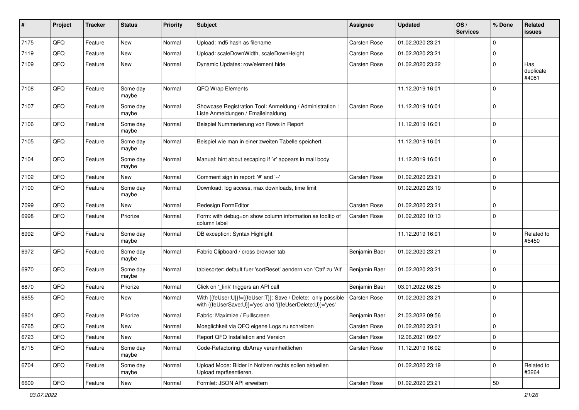| #    | Project | <b>Tracker</b> | <b>Status</b>     | <b>Priority</b> | <b>Subject</b>                                                                                                             | Assignee            | <b>Updated</b>   | OS/<br><b>Services</b> | % Done      | Related<br>issues         |
|------|---------|----------------|-------------------|-----------------|----------------------------------------------------------------------------------------------------------------------------|---------------------|------------------|------------------------|-------------|---------------------------|
| 7175 | QFQ     | Feature        | New               | Normal          | Upload: md5 hash as filename                                                                                               | <b>Carsten Rose</b> | 01.02.2020 23:21 |                        | $\mathbf 0$ |                           |
| 7119 | QFQ     | Feature        | New               | Normal          | Upload: scaleDownWidth, scaleDownHeight                                                                                    | <b>Carsten Rose</b> | 01.02.2020 23:21 |                        | 0           |                           |
| 7109 | QFQ     | Feature        | New               | Normal          | Dynamic Updates: row/element hide                                                                                          | Carsten Rose        | 01.02.2020 23:22 |                        | $\mathbf 0$ | Has<br>duplicate<br>#4081 |
| 7108 | QFQ     | Feature        | Some day<br>maybe | Normal          | QFQ Wrap Elements                                                                                                          |                     | 11.12.2019 16:01 |                        | $\mathbf 0$ |                           |
| 7107 | QFQ     | Feature        | Some day<br>maybe | Normal          | Showcase Registration Tool: Anmeldung / Administration :<br>Liste Anmeldungen / Emaileinaldung                             | Carsten Rose        | 11.12.2019 16:01 |                        | $\mathbf 0$ |                           |
| 7106 | QFQ     | Feature        | Some day<br>maybe | Normal          | Beispiel Nummerierung von Rows in Report                                                                                   |                     | 11.12.2019 16:01 |                        | $\mathbf 0$ |                           |
| 7105 | QFQ     | Feature        | Some day<br>maybe | Normal          | Beispiel wie man in einer zweiten Tabelle speichert.                                                                       |                     | 11.12.2019 16:01 |                        | $\mathbf 0$ |                           |
| 7104 | QFQ     | Feature        | Some day<br>maybe | Normal          | Manual: hint about escaping if '\r' appears in mail body                                                                   |                     | 11.12.2019 16:01 |                        | $\mathbf 0$ |                           |
| 7102 | QFQ     | Feature        | New               | Normal          | Comment sign in report: '#' and '--'                                                                                       | <b>Carsten Rose</b> | 01.02.2020 23:21 |                        | $\mathbf 0$ |                           |
| 7100 | QFQ     | Feature        | Some day<br>maybe | Normal          | Download: log access, max downloads, time limit                                                                            |                     | 01.02.2020 23:19 |                        | $\mathbf 0$ |                           |
| 7099 | QFQ     | Feature        | New               | Normal          | Redesign FormEditor                                                                                                        | <b>Carsten Rose</b> | 01.02.2020 23:21 |                        | $\mathbf 0$ |                           |
| 6998 | QFQ     | Feature        | Priorize          | Normal          | Form: with debug=on show column information as tooltip of<br>column label                                                  | <b>Carsten Rose</b> | 01.02.2020 10:13 |                        | $\mathbf 0$ |                           |
| 6992 | QFQ     | Feature        | Some day<br>maybe | Normal          | DB exception: Syntax Highlight                                                                                             |                     | 11.12.2019 16:01 |                        | $\mathbf 0$ | Related to<br>#5450       |
| 6972 | QFQ     | Feature        | Some day<br>maybe | Normal          | Fabric Clipboard / cross browser tab                                                                                       | Benjamin Baer       | 01.02.2020 23:21 |                        | $\mathbf 0$ |                           |
| 6970 | QFQ     | Feature        | Some day<br>maybe | Normal          | tablesorter: default fuer 'sortReset' aendern von 'Ctrl' zu 'Alt'                                                          | Benjamin Baer       | 01.02.2020 23:21 |                        | $\mathbf 0$ |                           |
| 6870 | QFQ     | Feature        | Priorize          | Normal          | Click on '_link' triggers an API call                                                                                      | Benjamin Baer       | 03.01.2022 08:25 |                        | $\mathbf 0$ |                           |
| 6855 | QFQ     | Feature        | New               | Normal          | With {{feUser:U}}!={{feUser:T}}: Save / Delete: only possible<br>with {{feUserSave:U}}='yes' and '{{feUserDelete:U}}='yes' | <b>Carsten Rose</b> | 01.02.2020 23:21 |                        | $\mathbf 0$ |                           |
| 6801 | QFQ     | Feature        | Priorize          | Normal          | Fabric: Maximize / FullIscreen                                                                                             | Benjamin Baer       | 21.03.2022 09:56 |                        | $\mathbf 0$ |                           |
| 6765 | QFQ     | Feature        | New               | Normal          | Moeglichkeit via QFQ eigene Logs zu schreiben                                                                              | <b>Carsten Rose</b> | 01.02.2020 23:21 |                        | $\Omega$    |                           |
| 6723 | QFQ     | Feature        | New               | Normal          | Report QFQ Installation and Version                                                                                        | Carsten Rose        | 12.06.2021 09:07 |                        | $\mathbf 0$ |                           |
| 6715 | QFQ     | Feature        | Some day<br>maybe | Normal          | Code-Refactoring: dbArray vereinheitlichen                                                                                 | Carsten Rose        | 11.12.2019 16:02 |                        | $\mathbf 0$ |                           |
| 6704 | QFQ     | Feature        | Some day<br>maybe | Normal          | Upload Mode: Bilder in Notizen rechts sollen aktuellen<br>Upload repräsentieren.                                           |                     | 01.02.2020 23:19 |                        | $\mathbf 0$ | Related to<br>#3264       |
| 6609 | QFQ     | Feature        | New               | Normal          | Formlet: JSON API erweitern                                                                                                | Carsten Rose        | 01.02.2020 23:21 |                        | $50\,$      |                           |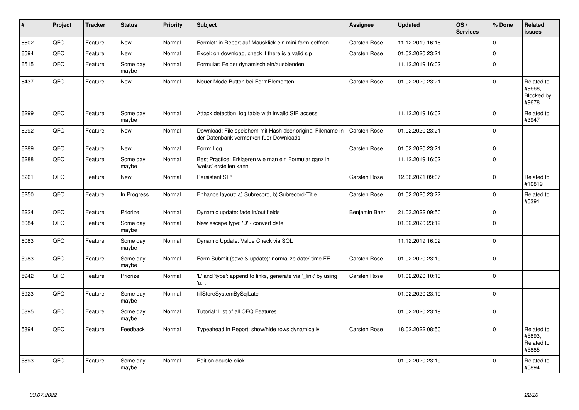| $\vert$ # | <b>Project</b> | <b>Tracker</b> | <b>Status</b>     | <b>Priority</b> | <b>Subject</b>                                                                                        | Assignee            | <b>Updated</b>   | OS/<br><b>Services</b> | % Done      | Related<br><b>issues</b>                    |
|-----------|----------------|----------------|-------------------|-----------------|-------------------------------------------------------------------------------------------------------|---------------------|------------------|------------------------|-------------|---------------------------------------------|
| 6602      | QFQ            | Feature        | New               | Normal          | Formlet: in Report auf Mausklick ein mini-form oeffnen                                                | Carsten Rose        | 11.12.2019 16:16 |                        | $\Omega$    |                                             |
| 6594      | QFQ            | Feature        | <b>New</b>        | Normal          | Excel: on download, check if there is a valid sip                                                     | Carsten Rose        | 01.02.2020 23:21 |                        | $\mathbf 0$ |                                             |
| 6515      | QFQ            | Feature        | Some day<br>maybe | Normal          | Formular: Felder dynamisch ein/ausblenden                                                             |                     | 11.12.2019 16:02 |                        | $\mathbf 0$ |                                             |
| 6437      | QFQ            | Feature        | <b>New</b>        | Normal          | Neuer Mode Button bei FormElementen                                                                   | Carsten Rose        | 01.02.2020 23:21 |                        | $\Omega$    | Related to<br>#9668,<br>Blocked by<br>#9678 |
| 6299      | QFQ            | Feature        | Some day<br>maybe | Normal          | Attack detection: log table with invalid SIP access                                                   |                     | 11.12.2019 16:02 |                        | $\Omega$    | Related to<br>#3947                         |
| 6292      | QFQ            | Feature        | New               | Normal          | Download: File speichern mit Hash aber original Filename in<br>der Datenbank vermerken fuer Downloads | <b>Carsten Rose</b> | 01.02.2020 23:21 |                        | $\Omega$    |                                             |
| 6289      | QFQ            | Feature        | New               | Normal          | Form: Log                                                                                             | Carsten Rose        | 01.02.2020 23:21 |                        | $\mathbf 0$ |                                             |
| 6288      | QFQ            | Feature        | Some day<br>maybe | Normal          | Best Practice: Erklaeren wie man ein Formular ganz in<br>'weiss' erstellen kann                       |                     | 11.12.2019 16:02 |                        | $\Omega$    |                                             |
| 6261      | QFQ            | Feature        | New               | Normal          | Persistent SIP                                                                                        | Carsten Rose        | 12.06.2021 09:07 |                        | $\Omega$    | Related to<br>#10819                        |
| 6250      | QFQ            | Feature        | In Progress       | Normal          | Enhance layout: a) Subrecord, b) Subrecord-Title                                                      | Carsten Rose        | 01.02.2020 23:22 |                        | $\Omega$    | Related to<br>#5391                         |
| 6224      | QFQ            | Feature        | Priorize          | Normal          | Dynamic update: fade in/out fields                                                                    | Benjamin Baer       | 21.03.2022 09:50 |                        | $\Omega$    |                                             |
| 6084      | QFQ            | Feature        | Some day<br>maybe | Normal          | New escape type: 'D' - convert date                                                                   |                     | 01.02.2020 23:19 |                        | $\Omega$    |                                             |
| 6083      | QFQ            | Feature        | Some day<br>maybe | Normal          | Dynamic Update: Value Check via SQL                                                                   |                     | 11.12.2019 16:02 |                        | $\Omega$    |                                             |
| 5983      | QFQ            | Feature        | Some day<br>maybe | Normal          | Form Submit (save & update): normalize date/-time FE                                                  | Carsten Rose        | 01.02.2020 23:19 |                        | $\Omega$    |                                             |
| 5942      | QFO            | Feature        | Priorize          | Normal          | 'L' and 'type': append to links, generate via '_link' by using<br>'u:' .                              | Carsten Rose        | 01.02.2020 10:13 |                        | $\Omega$    |                                             |
| 5923      | QFQ            | Feature        | Some day<br>maybe | Normal          | fillStoreSystemBySqlLate                                                                              |                     | 01.02.2020 23:19 |                        | $\Omega$    |                                             |
| 5895      | QFQ            | Feature        | Some day<br>maybe | Normal          | Tutorial: List of all QFQ Features                                                                    |                     | 01.02.2020 23:19 |                        | $\mathbf 0$ |                                             |
| 5894      | QFQ            | Feature        | Feedback          | Normal          | Typeahead in Report: show/hide rows dynamically                                                       | Carsten Rose        | 18.02.2022 08:50 |                        | $\Omega$    | Related to<br>#5893.<br>Related to<br>#5885 |
| 5893      | QFQ            | Feature        | Some day<br>maybe | Normal          | Edit on double-click                                                                                  |                     | 01.02.2020 23:19 |                        | $\Omega$    | Related to<br>#5894                         |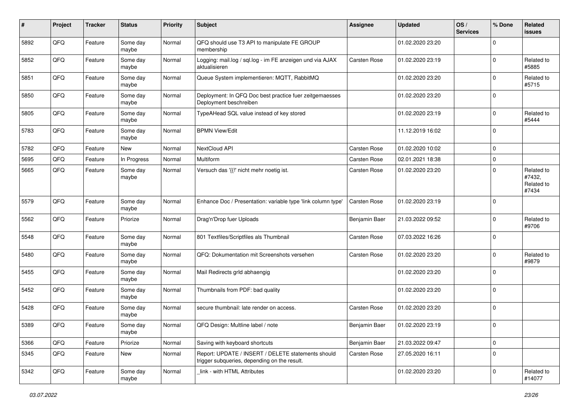| #    | Project | <b>Tracker</b> | <b>Status</b>     | <b>Priority</b> | <b>Subject</b>                                                                                     | <b>Assignee</b> | <b>Updated</b>   | OS/<br><b>Services</b> | % Done      | Related<br><b>issues</b>                    |
|------|---------|----------------|-------------------|-----------------|----------------------------------------------------------------------------------------------------|-----------------|------------------|------------------------|-------------|---------------------------------------------|
| 5892 | QFQ     | Feature        | Some day<br>maybe | Normal          | QFQ should use T3 API to manipulate FE GROUP<br>membership                                         |                 | 01.02.2020 23:20 |                        | $\mathbf 0$ |                                             |
| 5852 | QFQ     | Feature        | Some day<br>maybe | Normal          | Logging: mail.log / sql.log - im FE anzeigen und via AJAX<br>aktualisieren                         | Carsten Rose    | 01.02.2020 23:19 |                        | $\mathbf 0$ | Related to<br>#5885                         |
| 5851 | QFQ     | Feature        | Some day<br>maybe | Normal          | Queue System implementieren: MQTT, RabbitMQ                                                        |                 | 01.02.2020 23:20 |                        | $\mathbf 0$ | Related to<br>#5715                         |
| 5850 | QFQ     | Feature        | Some day<br>maybe | Normal          | Deployment: In QFQ Doc best practice fuer zeitgemaesses<br>Deployment beschreiben                  |                 | 01.02.2020 23:20 |                        | $\mathbf 0$ |                                             |
| 5805 | QFQ     | Feature        | Some day<br>maybe | Normal          | TypeAHead SQL value instead of key stored                                                          |                 | 01.02.2020 23:19 |                        | $\mathbf 0$ | Related to<br>#5444                         |
| 5783 | QFQ     | Feature        | Some day<br>maybe | Normal          | <b>BPMN View/Edit</b>                                                                              |                 | 11.12.2019 16:02 |                        | $\mathbf 0$ |                                             |
| 5782 | QFQ     | Feature        | New               | Normal          | NextCloud API                                                                                      | Carsten Rose    | 01.02.2020 10:02 |                        | $\mathbf 0$ |                                             |
| 5695 | QFQ     | Feature        | In Progress       | Normal          | Multiform                                                                                          | Carsten Rose    | 02.01.2021 18:38 |                        | $\mathbf 0$ |                                             |
| 5665 | QFQ     | Feature        | Some day<br>maybe | Normal          | Versuch das '{{!' nicht mehr noetig ist.                                                           | Carsten Rose    | 01.02.2020 23:20 |                        | $\mathbf 0$ | Related to<br>#7432,<br>Related to<br>#7434 |
| 5579 | QFQ     | Feature        | Some day<br>maybe | Normal          | Enhance Doc / Presentation: variable type 'link column type'                                       | Carsten Rose    | 01.02.2020 23:19 |                        | $\mathbf 0$ |                                             |
| 5562 | QFQ     | Feature        | Priorize          | Normal          | Drag'n'Drop fuer Uploads                                                                           | Benjamin Baer   | 21.03.2022 09:52 |                        | $\mathbf 0$ | Related to<br>#9706                         |
| 5548 | QFQ     | Feature        | Some day<br>maybe | Normal          | 801 Textfiles/Scriptfiles als Thumbnail                                                            | Carsten Rose    | 07.03.2022 16:26 |                        | $\mathbf 0$ |                                             |
| 5480 | QFQ     | Feature        | Some day<br>maybe | Normal          | QFQ: Dokumentation mit Screenshots versehen                                                        | Carsten Rose    | 01.02.2020 23:20 |                        | $\mathbf 0$ | Related to<br>#9879                         |
| 5455 | QFQ     | Feature        | Some day<br>maybe | Normal          | Mail Redirects grld abhaengig                                                                      |                 | 01.02.2020 23:20 |                        | $\mathbf 0$ |                                             |
| 5452 | QFQ     | Feature        | Some day<br>maybe | Normal          | Thumbnails from PDF: bad quality                                                                   |                 | 01.02.2020 23:20 |                        | $\mathbf 0$ |                                             |
| 5428 | QFQ     | Feature        | Some day<br>maybe | Normal          | secure thumbnail: late render on access.                                                           | Carsten Rose    | 01.02.2020 23:20 |                        | $\mathbf 0$ |                                             |
| 5389 | QFQ     | Feature        | Some day<br>maybe | Normal          | QFQ Design: Multline label / note                                                                  | Benjamin Baer   | 01.02.2020 23:19 |                        | $\mathbf 0$ |                                             |
| 5366 | QFQ     | Feature        | Priorize          | Normal          | Saving with keyboard shortcuts                                                                     | Benjamin Baer   | 21.03.2022 09:47 |                        | $\mathbf 0$ |                                             |
| 5345 | QFQ     | Feature        | New               | Normal          | Report: UPDATE / INSERT / DELETE statements should<br>trigger subqueries, depending on the result. | Carsten Rose    | 27.05.2020 16:11 |                        | $\mathbf 0$ |                                             |
| 5342 | QFQ     | Feature        | Some day<br>maybe | Normal          | link - with HTML Attributes                                                                        |                 | 01.02.2020 23:20 |                        | $\mathbf 0$ | Related to<br>#14077                        |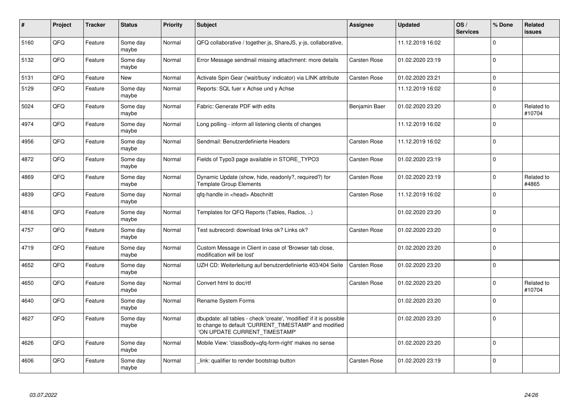| $\pmb{\#}$ | Project | <b>Tracker</b> | <b>Status</b>     | <b>Priority</b> | Subject                                                                                                                                                       | <b>Assignee</b>     | <b>Updated</b>   | OS/<br><b>Services</b> | % Done      | Related<br><b>issues</b> |
|------------|---------|----------------|-------------------|-----------------|---------------------------------------------------------------------------------------------------------------------------------------------------------------|---------------------|------------------|------------------------|-------------|--------------------------|
| 5160       | QFQ     | Feature        | Some day<br>maybe | Normal          | QFQ collaborative / together.js, ShareJS, y-js, collaborative,                                                                                                |                     | 11.12.2019 16:02 |                        | $\Omega$    |                          |
| 5132       | QFQ     | Feature        | Some day<br>maybe | Normal          | Error Message sendmail missing attachment: more details                                                                                                       | <b>Carsten Rose</b> | 01.02.2020 23:19 |                        | $\mathbf 0$ |                          |
| 5131       | QFQ     | Feature        | <b>New</b>        | Normal          | Activate Spin Gear ('wait/busy' indicator) via LINK attribute                                                                                                 | <b>Carsten Rose</b> | 01.02.2020 23:21 |                        | $\mathbf 0$ |                          |
| 5129       | QFQ     | Feature        | Some day<br>maybe | Normal          | Reports: SQL fuer x Achse und y Achse                                                                                                                         |                     | 11.12.2019 16:02 |                        | $\Omega$    |                          |
| 5024       | QFQ     | Feature        | Some day<br>maybe | Normal          | Fabric: Generate PDF with edits                                                                                                                               | Benjamin Baer       | 01.02.2020 23:20 |                        | $\mathbf 0$ | Related to<br>#10704     |
| 4974       | QFQ     | Feature        | Some day<br>maybe | Normal          | Long polling - inform all listening clients of changes                                                                                                        |                     | 11.12.2019 16:02 |                        | $\mathbf 0$ |                          |
| 4956       | QFQ     | Feature        | Some day<br>maybe | Normal          | Sendmail: Benutzerdefinierte Headers                                                                                                                          | <b>Carsten Rose</b> | 11.12.2019 16:02 |                        | $\mathbf 0$ |                          |
| 4872       | QFQ     | Feature        | Some day<br>maybe | Normal          | Fields of Typo3 page available in STORE_TYPO3                                                                                                                 | <b>Carsten Rose</b> | 01.02.2020 23:19 |                        | $\mathbf 0$ |                          |
| 4869       | QFQ     | Feature        | Some day<br>maybe | Normal          | Dynamic Update (show, hide, readonly?, required?) for<br><b>Template Group Elements</b>                                                                       | <b>Carsten Rose</b> | 01.02.2020 23:19 |                        | $\mathbf 0$ | Related to<br>#4865      |
| 4839       | QFQ     | Feature        | Some day<br>maybe | Normal          | qfq-handle in <head> Abschnitt</head>                                                                                                                         | Carsten Rose        | 11.12.2019 16:02 |                        | $\mathbf 0$ |                          |
| 4816       | QFQ     | Feature        | Some day<br>maybe | Normal          | Templates for QFQ Reports (Tables, Radios, )                                                                                                                  |                     | 01.02.2020 23:20 |                        | $\mathbf 0$ |                          |
| 4757       | QFQ     | Feature        | Some day<br>maybe | Normal          | Test subrecord: download links ok? Links ok?                                                                                                                  | <b>Carsten Rose</b> | 01.02.2020 23:20 |                        | $\mathbf 0$ |                          |
| 4719       | QFQ     | Feature        | Some day<br>maybe | Normal          | Custom Message in Client in case of 'Browser tab close,<br>modification will be lost'                                                                         |                     | 01.02.2020 23:20 |                        | $\mathbf 0$ |                          |
| 4652       | QFQ     | Feature        | Some day<br>maybe | Normal          | UZH CD: Weiterleitung auf benutzerdefinierte 403/404 Seite                                                                                                    | <b>Carsten Rose</b> | 01.02.2020 23:20 |                        | $\mathbf 0$ |                          |
| 4650       | QFQ     | Feature        | Some day<br>maybe | Normal          | Convert html to doc/rtf                                                                                                                                       | <b>Carsten Rose</b> | 01.02.2020 23:20 |                        | $\mathbf 0$ | Related to<br>#10704     |
| 4640       | QFQ     | Feature        | Some day<br>maybe | Normal          | Rename System Forms                                                                                                                                           |                     | 01.02.2020 23:20 |                        | $\mathbf 0$ |                          |
| 4627       | QFQ     | Feature        | Some day<br>maybe | Normal          | dbupdate: all tables - check 'create', 'modified' if it is possible<br>to change to default 'CURRENT_TIMESTAMP' and modified<br>'ON UPDATE CURRENT_TIMESTAMP' |                     | 01.02.2020 23:20 |                        | $\Omega$    |                          |
| 4626       | QFQ     | Feature        | Some day<br>maybe | Normal          | Mobile View: 'classBody=qfq-form-right' makes no sense                                                                                                        |                     | 01.02.2020 23:20 |                        | $\mathbf 0$ |                          |
| 4606       | QFQ     | Feature        | Some day<br>maybe | Normal          | link: qualifier to render bootstrap button                                                                                                                    | Carsten Rose        | 01.02.2020 23:19 |                        | $\mathbf 0$ |                          |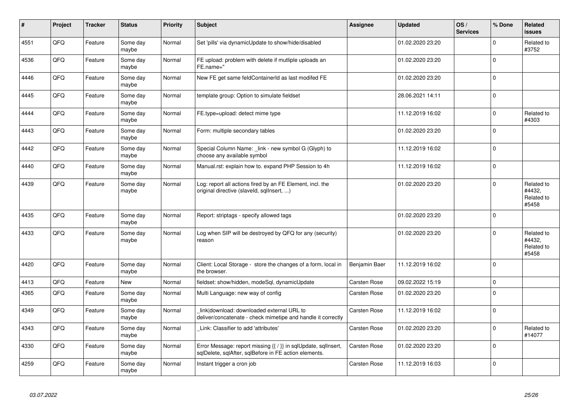| #    | Project | <b>Tracker</b> | <b>Status</b>     | <b>Priority</b> | <b>Subject</b>                                                                                                          | Assignee            | <b>Updated</b>   | OS/<br><b>Services</b> | % Done      | <b>Related</b><br><b>issues</b>             |
|------|---------|----------------|-------------------|-----------------|-------------------------------------------------------------------------------------------------------------------------|---------------------|------------------|------------------------|-------------|---------------------------------------------|
| 4551 | QFQ     | Feature        | Some day<br>maybe | Normal          | Set 'pills' via dynamicUpdate to show/hide/disabled                                                                     |                     | 01.02.2020 23:20 |                        | $\mathbf 0$ | Related to<br>#3752                         |
| 4536 | QFQ     | Feature        | Some dav<br>maybe | Normal          | FE upload: problem with delete if mutliple uploads an<br>FE.name="                                                      |                     | 01.02.2020 23:20 |                        | $\mathbf 0$ |                                             |
| 4446 | QFQ     | Feature        | Some day<br>maybe | Normal          | New FE get same feldContainerId as last modifed FE                                                                      |                     | 01.02.2020 23:20 |                        | $\mathbf 0$ |                                             |
| 4445 | QFQ     | Feature        | Some day<br>maybe | Normal          | template group: Option to simulate fieldset                                                                             |                     | 28.06.2021 14:11 |                        | $\mathbf 0$ |                                             |
| 4444 | QFQ     | Feature        | Some day<br>maybe | Normal          | FE.type=upload: detect mime type                                                                                        |                     | 11.12.2019 16:02 |                        | $\mathbf 0$ | Related to<br>#4303                         |
| 4443 | QFQ     | Feature        | Some day<br>maybe | Normal          | Form: multiple secondary tables                                                                                         |                     | 01.02.2020 23:20 |                        | $\mathbf 0$ |                                             |
| 4442 | QFQ     | Feature        | Some day<br>maybe | Normal          | Special Column Name: _link - new symbol G (Glyph) to<br>choose any available symbol                                     |                     | 11.12.2019 16:02 |                        | $\Omega$    |                                             |
| 4440 | QFQ     | Feature        | Some day<br>maybe | Normal          | Manual.rst: explain how to. expand PHP Session to 4h                                                                    |                     | 11.12.2019 16:02 |                        | $\Omega$    |                                             |
| 4439 | QFQ     | Feature        | Some day<br>maybe | Normal          | Log: report all actions fired by an FE Element, incl. the<br>original directive (slaveld, sqllnsert, )                  |                     | 01.02.2020 23:20 |                        | $\mathbf 0$ | Related to<br>#4432,<br>Related to<br>#5458 |
| 4435 | QFQ     | Feature        | Some day<br>maybe | Normal          | Report: striptags - specify allowed tags                                                                                |                     | 01.02.2020 23:20 |                        | $\mathbf 0$ |                                             |
| 4433 | QFQ     | Feature        | Some day<br>maybe | Normal          | Log when SIP will be destroyed by QFQ for any (security)<br>reason                                                      |                     | 01.02.2020 23:20 |                        | $\mathbf 0$ | Related to<br>#4432,<br>Related to<br>#5458 |
| 4420 | QFQ     | Feature        | Some day<br>maybe | Normal          | Client: Local Storage - store the changes of a form, local in<br>the browser.                                           | Benjamin Baer       | 11.12.2019 16:02 |                        | $\mathbf 0$ |                                             |
| 4413 | QFQ     | Feature        | <b>New</b>        | Normal          | fieldset: show/hidden, modeSql, dynamicUpdate                                                                           | Carsten Rose        | 09.02.2022 15:19 |                        | $\mathbf 0$ |                                             |
| 4365 | QFQ     | Feature        | Some day<br>maybe | Normal          | Multi Language: new way of config                                                                                       | Carsten Rose        | 01.02.2020 23:20 |                        | $\mathbf 0$ |                                             |
| 4349 | QFQ     | Feature        | Some day<br>maybe | Normal          | link download: downloaded external URL to<br>deliver/concatenate - check mimetipe and handle it correctly               | <b>Carsten Rose</b> | 11.12.2019 16:02 |                        | $\mathbf 0$ |                                             |
| 4343 | QFQ     | Feature        | Some day<br>maybe | Normal          | Link: Classifier to add 'attributes'                                                                                    | <b>Carsten Rose</b> | 01.02.2020 23:20 |                        | $\mathbf 0$ | Related to<br>#14077                        |
| 4330 | QFQ     | Feature        | Some dav<br>maybe | Normal          | Error Message: report missing {{ / }} in sqlUpdate, sqlInsert,<br>sqlDelete, sqlAfter, sqlBefore in FE action elements. | <b>Carsten Rose</b> | 01.02.2020 23:20 |                        | $\mathbf 0$ |                                             |
| 4259 | QFQ     | Feature        | Some day<br>maybe | Normal          | Instant trigger a cron job                                                                                              | Carsten Rose        | 11.12.2019 16:03 |                        | $\mathbf 0$ |                                             |